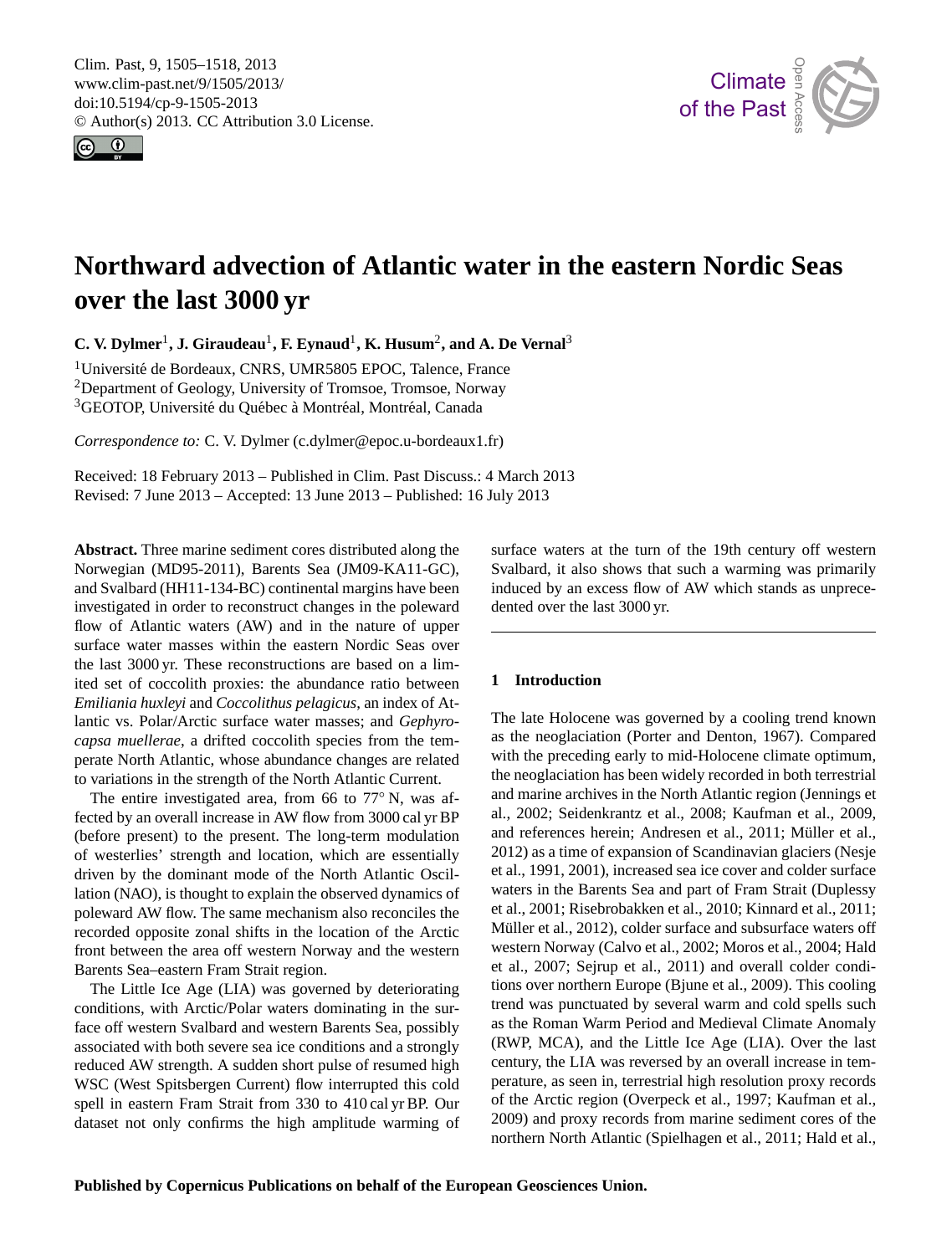<span id="page-0-0"></span>Clim. Past, 9, 1505–1518, 2013 www.clim-past.net/9/1505/2013/ doi:10.5194/cp-9-1505-2013 © Author(s) 2013. CC Attribution 3.0 License.





Open Access

# **Northward advection of Atlantic water in the eastern Nordic Seas over the last 3000 yr**

**C. V. Dylmer<sup>1</sup>, J. Giraudeau<sup>1</sup>, F. Eynaud<sup>1</sup>, <b>K. Husum<sup>2</sup>, and A. De Vernal**<sup>3</sup>

<sup>1</sup>Université de Bordeaux, CNRS, UMR5805 EPOC, Talence, France <sup>2</sup>Department of Geology, University of Tromsoe, Tromsoe, Norway <sup>3</sup>GEOTOP, Université du Québec à Montréal, Montréal, Canada

*Correspondence to:* C. V. Dylmer (c.dylmer@epoc.u-bordeaux1.fr)

Received: 18 February 2013 – Published in Clim. Past Discuss.: 4 March 2013 Revised: 7 June 2013 – Accepted: 13 June 2013 – Published: 16 July 2013

**Abstract.** Three marine sediment cores distributed along the Norwegian (MD95-2011), Barents Sea (JM09-KA11-GC), and Svalbard (HH11-134-BC) continental margins have been investigated in order to reconstruct changes in the poleward flow of Atlantic waters (AW) and in the nature of upper surface water masses within the eastern Nordic Seas over the last 3000 yr. These reconstructions are based on a limited set of coccolith proxies: the abundance ratio between *Emiliania huxleyi* and *Coccolithus pelagicus*, an index of Atlantic vs. Polar/Arctic surface water masses; and *Gephyrocapsa muellerae*, a drifted coccolith species from the temperate North Atlantic, whose abundance changes are related to variations in the strength of the North Atlantic Current.

The entire investigated area, from 66 to 77° N, was affected by an overall increase in AW flow from 3000 cal yr BP (before present) to the present. The long-term modulation of westerlies' strength and location, which are essentially driven by the dominant mode of the North Atlantic Oscillation (NAO), is thought to explain the observed dynamics of poleward AW flow. The same mechanism also reconciles the recorded opposite zonal shifts in the location of the Arctic front between the area off western Norway and the western Barents Sea–eastern Fram Strait region.

The Little Ice Age (LIA) was governed by deteriorating conditions, with Arctic/Polar waters dominating in the surface off western Svalbard and western Barents Sea, possibly associated with both severe sea ice conditions and a strongly reduced AW strength. A sudden short pulse of resumed high WSC (West Spitsbergen Current) flow interrupted this cold spell in eastern Fram Strait from 330 to 410 cal yr BP. Our dataset not only confirms the high amplitude warming of surface waters at the turn of the 19th century off western induced by an excess flow of AW which stands as unprece-Open<br>Va<br>S Svalbard, it also shows that such a warming was primarily dented over the last 3000 yr.

## **1 Introduction**

the neoglaciation has been widely recorded in both terrestrial  $\alpha$  at ot  $\alpha$ waters in the Barents Sea and part of Fram Strait (Duplessy ad<br>col<br>d d The late Holocene was governed by a cooling trend known as the neoglaciation (Porter and Denton, 1967). Compared with the preceding early to mid-Holocene climate optimum, and marine archives in the North Atlantic region (Jennings et al., 2002; Seidenkrantz et al., 2008; Kaufman et al., 2009, and references herein; Andresen et al., 2011; Müller et al., 2012) as a time of expansion of Scandinavian glaciers (Nesje et al., 1991, 2001), increased sea ice cover and colder surface et al., 2001; Risebrobakken et al., 2010; Kinnard et al., 2011; Müller et al., 2012), colder surface and subsurface waters off western Norway (Calvo et al., 2002; Moros et al., 2004; Hald et al., 2007; Sejrup et al., 2011) and overall colder conditions over northern Europe (Bjune et al., 2009). This cooling trend was punctuated by several warm and cold spells such as the Roman Warm Period and Medieval Climate Anomaly (RWP, MCA), and the Little Ice Age (LIA). Over the last century, the LIA was reversed by an overall increase in temperature, as seen in, terrestrial high resolution proxy records of the Arctic region (Overpeck et al., 1997; Kaufman et al., 2009) and proxy records from marine sediment cores of the northern North Atlantic (Spielhagen et al., 2011; Hald et al.,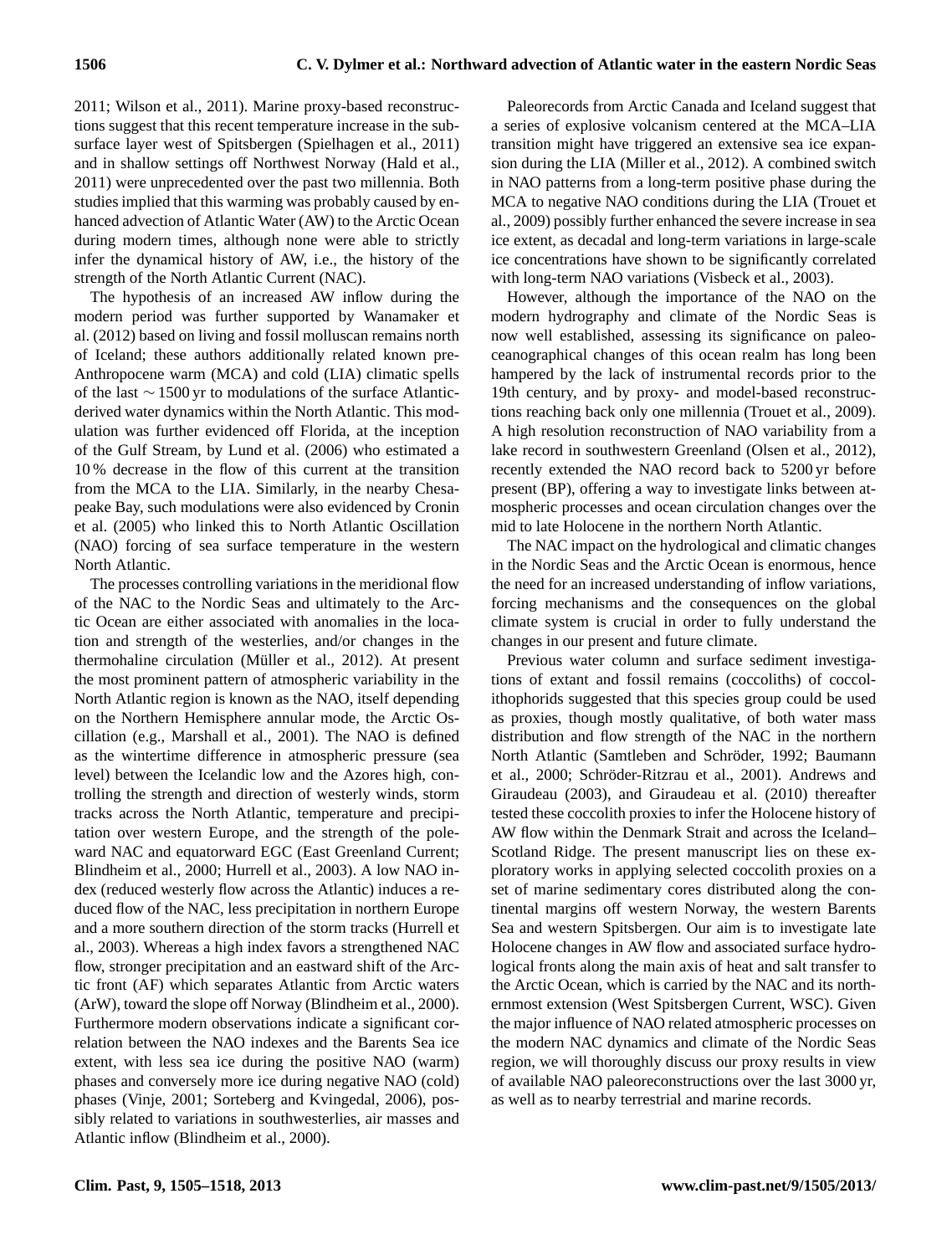2011; Wilson et al., 2011). Marine proxy-based reconstructions suggest that this recent temperature increase in the subsurface layer west of Spitsbergen (Spielhagen et al., 2011) and in shallow settings off Northwest Norway (Hald et al., 2011) were unprecedented over the past two millennia. Both studies implied that this warming was probably caused by enhanced advection of Atlantic Water (AW) to the Arctic Ocean during modern times, although none were able to strictly infer the dynamical history of AW, i.e., the history of the strength of the North Atlantic Current (NAC).

The hypothesis of an increased AW inflow during the modern period was further supported by Wanamaker et al. (2012) based on living and fossil molluscan remains north of Iceland; these authors additionally related known pre-Anthropocene warm (MCA) and cold (LIA) climatic spells of the last ∼ 1500 yr to modulations of the surface Atlanticderived water dynamics within the North Atlantic. This modulation was further evidenced off Florida, at the inception of the Gulf Stream, by Lund et al. (2006) who estimated a 10 % decrease in the flow of this current at the transition from the MCA to the LIA. Similarly, in the nearby Chesapeake Bay, such modulations were also evidenced by Cronin et al. (2005) who linked this to North Atlantic Oscillation (NAO) forcing of sea surface temperature in the western North Atlantic.

The processes controlling variations in the meridional flow of the NAC to the Nordic Seas and ultimately to the Arctic Ocean are either associated with anomalies in the location and strength of the westerlies, and/or changes in the thermohaline circulation (Müller et al., 2012). At present the most prominent pattern of atmospheric variability in the North Atlantic region is known as the NAO, itself depending on the Northern Hemisphere annular mode, the Arctic Oscillation (e.g., Marshall et al., 2001). The NAO is defined as the wintertime difference in atmospheric pressure (sea level) between the Icelandic low and the Azores high, controlling the strength and direction of westerly winds, storm tracks across the North Atlantic, temperature and precipitation over western Europe, and the strength of the poleward NAC and equatorward EGC (East Greenland Current; Blindheim et al., 2000; Hurrell et al., 2003). A low NAO index (reduced westerly flow across the Atlantic) induces a reduced flow of the NAC, less precipitation in northern Europe and a more southern direction of the storm tracks (Hurrell et al., 2003). Whereas a high index favors a strengthened NAC flow, stronger precipitation and an eastward shift of the Arctic front (AF) which separates Atlantic from Arctic waters (ArW), toward the slope off Norway (Blindheim et al., 2000). Furthermore modern observations indicate a significant correlation between the NAO indexes and the Barents Sea ice extent, with less sea ice during the positive NAO (warm) phases and conversely more ice during negative NAO (cold) phases (Vinje, 2001; Sorteberg and Kvingedal, 2006), possibly related to variations in southwesterlies, air masses and Atlantic inflow (Blindheim et al., 2000).

Paleorecords from Arctic Canada and Iceland suggest that a series of explosive volcanism centered at the MCA–LIA transition might have triggered an extensive sea ice expansion during the LIA (Miller et al., 2012). A combined switch in NAO patterns from a long-term positive phase during the MCA to negative NAO conditions during the LIA (Trouet et al., 2009) possibly further enhanced the severe increase in sea ice extent, as decadal and long-term variations in large-scale ice concentrations have shown to be significantly correlated with long-term NAO variations (Visbeck et al., 2003).

However, although the importance of the NAO on the modern hydrography and climate of the Nordic Seas is now well established, assessing its significance on paleoceanographical changes of this ocean realm has long been hampered by the lack of instrumental records prior to the 19th century, and by proxy- and model-based reconstructions reaching back only one millennia (Trouet et al., 2009). A high resolution reconstruction of NAO variability from a lake record in southwestern Greenland (Olsen et al., 2012), recently extended the NAO record back to 5200 yr before present (BP), offering a way to investigate links between atmospheric processes and ocean circulation changes over the mid to late Holocene in the northern North Atlantic.

The NAC impact on the hydrological and climatic changes in the Nordic Seas and the Arctic Ocean is enormous, hence the need for an increased understanding of inflow variations, forcing mechanisms and the consequences on the global climate system is crucial in order to fully understand the changes in our present and future climate.

Previous water column and surface sediment investigations of extant and fossil remains (coccoliths) of coccolithophorids suggested that this species group could be used as proxies, though mostly qualitative, of both water mass distribution and flow strength of the NAC in the northern North Atlantic (Samtleben and Schröder, 1992; Baumann et al., 2000; Schröder-Ritzrau et al., 2001). Andrews and Giraudeau (2003), and Giraudeau et al. (2010) thereafter tested these coccolith proxies to infer the Holocene history of AW flow within the Denmark Strait and across the Iceland– Scotland Ridge. The present manuscript lies on these exploratory works in applying selected coccolith proxies on a set of marine sedimentary cores distributed along the continental margins off western Norway, the western Barents Sea and western Spitsbergen. Our aim is to investigate late Holocene changes in AW flow and associated surface hydrological fronts along the main axis of heat and salt transfer to the Arctic Ocean, which is carried by the NAC and its northernmost extension (West Spitsbergen Current, WSC). Given the major influence of NAO related atmospheric processes on the modern NAC dynamics and climate of the Nordic Seas region, we will thoroughly discuss our proxy results in view of available NAO paleoreconstructions over the last 3000 yr, as well as to nearby terrestrial and marine records.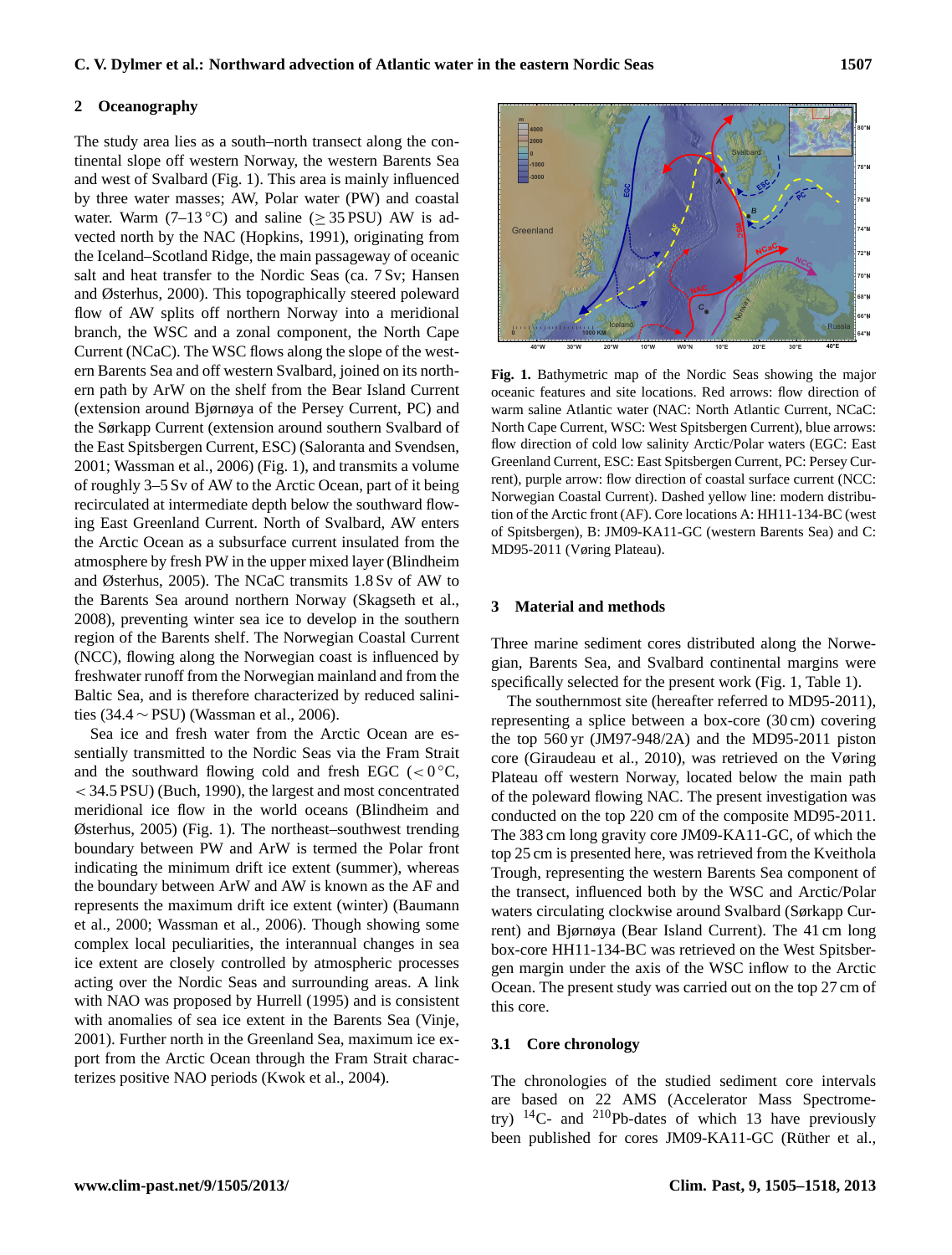#### **2 Oceanography**

The study area lies as a south–north transect along the continental slope off western Norway, the western Barents Sea and west of Svalbard (Fig. 1). This area is mainly influenced by three water masses; AW, Polar water (PW) and coastal water. Warm (7–13 °C) and saline ( $\geq$  35 PSU) AW is advected north by the NAC (Hopkins, 1991), originating from the Iceland–Scotland Ridge, the main passageway of oceanic salt and heat transfer to the Nordic Seas (ca. 7 Sv; Hansen and Østerhus, 2000). This topographically steered poleward flow of AW splits off northern Norway into a meridional branch, the WSC and a zonal component, the North Cape Current (NCaC). The WSC flows along the slope of the western Barents Sea and off western Svalbard, joined on its northern path by ArW on the shelf from the Bear Island Current (extension around Bjørnøya of the Persey Current, PC) and the Sørkapp Current (extension around southern Svalbard of the East Spitsbergen Current, ESC) (Saloranta and Svendsen, 2001; Wassman et al., 2006) (Fig. 1), and transmits a volume of roughly 3–5 Sv of AW to the Arctic Ocean, part of it being recirculated at intermediate depth below the southward flowing East Greenland Current. North of Svalbard, AW enters the Arctic Ocean as a subsurface current insulated from the atmosphere by fresh PW in the upper mixed layer (Blindheim and Østerhus, 2005). The NCaC transmits 1.8 Sv of AW to the Barents Sea around northern Norway (Skagseth et al., 2008), preventing winter sea ice to develop in the southern region of the Barents shelf. The Norwegian Coastal Current (NCC), flowing along the Norwegian coast is influenced by freshwater runoff from the Norwegian mainland and from the Baltic Sea, and is therefore characterized by reduced salinities (34.4 ∼ PSU) (Wassman et al., 2006).

Sea ice and fresh water from the Arctic Ocean are essentially transmitted to the Nordic Seas via the Fram Strait and the southward flowing cold and fresh EGC (< $0^{\circ}$ C, < 34.5 PSU) (Buch, 1990), the largest and most concentrated meridional ice flow in the world oceans (Blindheim and Østerhus, 2005) (Fig. 1). The northeast–southwest trending boundary between PW and ArW is termed the Polar front indicating the minimum drift ice extent (summer), whereas the boundary between ArW and AW is known as the AF and represents the maximum drift ice extent (winter) (Baumann et al., 2000; Wassman et al., 2006). Though showing some complex local peculiarities, the interannual changes in sea ice extent are closely controlled by atmospheric processes acting over the Nordic Seas and surrounding areas. A link with NAO was proposed by Hurrell (1995) and is consistent with anomalies of sea ice extent in the Barents Sea (Vinje, 2001). Further north in the Greenland Sea, maximum ice export from the Arctic Ocean through the Fram Strait characterizes positive NAO periods (Kwok et al., 2004).



**Fig. 1.** Bathymetric map of the Nordic Seas showing the major oceanic features and site locations. Red arrows: flow direction of warm saline Atlantic water (NAC: North Atlantic Current, NCaC: North Cape Current, WSC: West Spitsbergen Current), blue arrows: flow direction of cold low salinity Arctic/Polar waters (EGC: East Greenland Current, ESC: East Spitsbergen Current, PC: Persey Current), purple arrow: flow direction of coastal surface current (NCC: Norwegian Coastal Current). Dashed yellow line: modern distribution of the Arctic front (AF). Core locations A: HH11-134-BC (west of Spitsbergen), B: JM09-KA11-GC (western Barents Sea) and C: MD95-2011 (Vøring Plateau).

#### **3 Material and methods**

Three marine sediment cores distributed along the Norwegian, Barents Sea, and Svalbard continental margins were specifically selected for the present work (Fig. 1, Table 1).

The southernmost site (hereafter referred to MD95-2011), representing a splice between a box-core (30 cm) covering the top 560 yr (JM97-948/2A) and the MD95-2011 piston core (Giraudeau et al., 2010), was retrieved on the Vøring Plateau off western Norway, located below the main path of the poleward flowing NAC. The present investigation was conducted on the top 220 cm of the composite MD95-2011. The 383 cm long gravity core JM09-KA11-GC, of which the top 25 cm is presented here, was retrieved from the Kveithola Trough, representing the western Barents Sea component of the transect, influenced both by the WSC and Arctic/Polar waters circulating clockwise around Svalbard (Sørkapp Current) and Bjørnøya (Bear Island Current). The 41 cm long box-core HH11-134-BC was retrieved on the West Spitsbergen margin under the axis of the WSC inflow to the Arctic Ocean. The present study was carried out on the top 27 cm of this core.

#### **3.1 Core chronology**

The chronologies of the studied sediment core intervals are based on 22 AMS (Accelerator Mass Spectrometry)  $^{14}$ C- and  $^{210}$ Pb-dates of which 13 have previously been published for cores JM09-KA11-GC (Rüther et al.,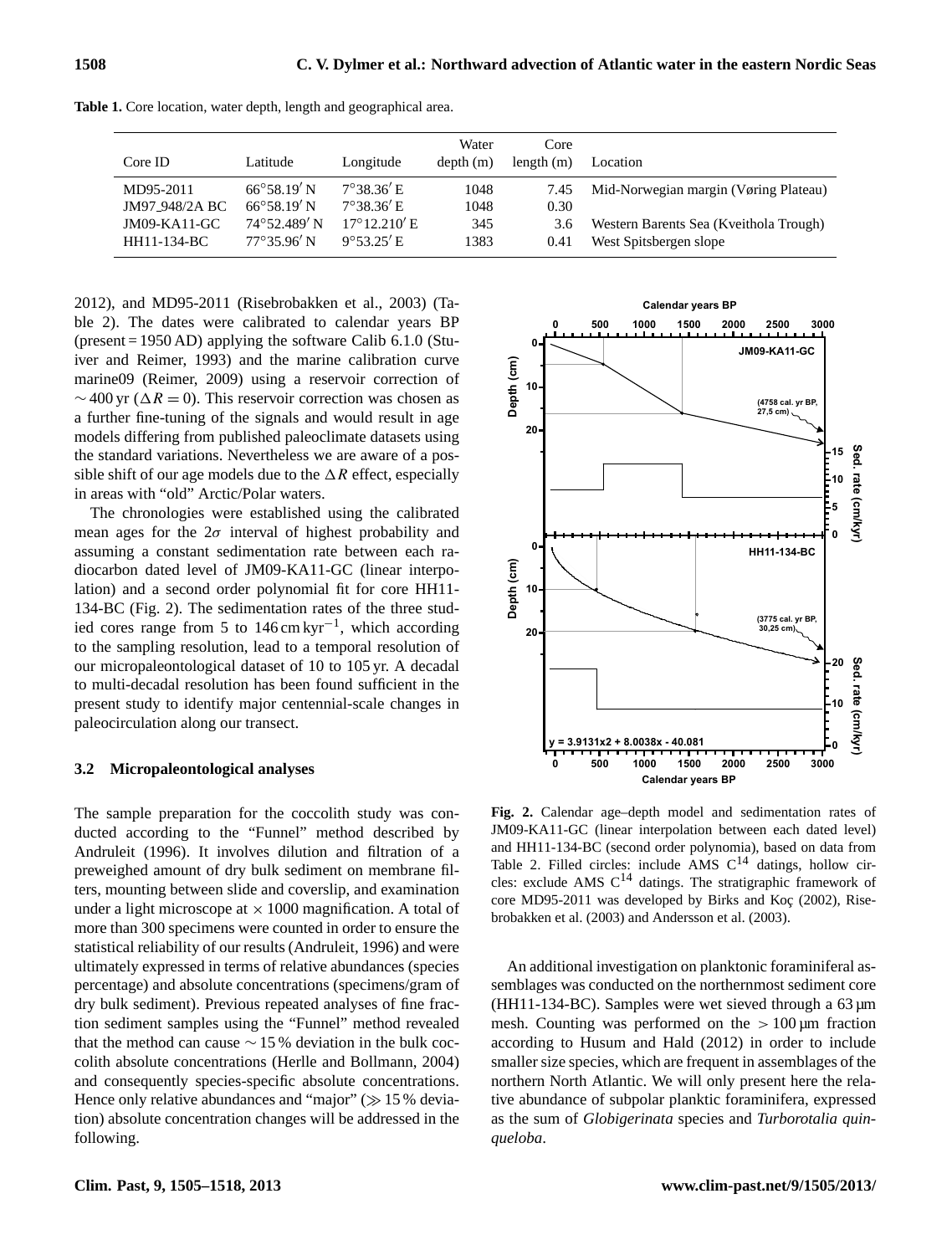| Core ID        | Latitude              | Longitude             | Water<br>depth(m) | Core<br>length $(m)$ | Location                               |
|----------------|-----------------------|-----------------------|-------------------|----------------------|----------------------------------------|
| MD95-2011      | $66^{\circ}58.19'$ N  | $7^{\circ}38.36'$ E   | 1048              | 7.45                 | Mid-Norwegian margin (Vøring Plateau)  |
| JM97_948/2A BC | $66^{\circ}58.19'$ N  | $7^{\circ}38.36'$ E.  | 1048              | 0.30                 |                                        |
| $JM09-KA11-GC$ | $74^{\circ}52.489'$ N | $17^{\circ}12.210'$ E | 345               | 3.6                  | Western Barents Sea (Kveithola Trough) |
| HH11-134-BC    | $77^{\circ}35.96'$ N  | $9^{\circ}53.25'$ E   | 1383              | 0.41                 | West Spitsbergen slope                 |

**Table 1.** Core location, water depth, length and geographical area.

2012), and MD95-2011 (Risebrobakken et al., 2003) (Table 2). The dates were calibrated to calendar years BP (present = 1950 AD) applying the software Calib 6.1.0 (Stuiver and Reimer, 1993) and the marine calibration curve marine09 (Reimer, 2009) using a reservoir correction of  $\sim$  400 yr ( $\Delta R = 0$ ). This reservoir correction was chosen as a further fine-tuning of the signals and would result in age models differing from published paleoclimate datasets using the standard variations. Nevertheless we are aware of a possible shift of our age models due to the  $\Delta R$  effect, especially in areas with "old" Arctic/Polar waters.

The chronologies were established using the calibrated mean ages for the  $2\sigma$  interval of highest probability and assuming a constant sedimentation rate between each radiocarbon dated level of JM09-KA11-GC (linear interpolation) and a second order polynomial fit for core HH11- 134-BC (Fig. 2). The sedimentation rates of the three studied cores range from 5 to 146 cm kyr−<sup>1</sup> , which according to the sampling resolution, lead to a temporal resolution of our micropaleontological dataset of 10 to 105 yr. A decadal to multi-decadal resolution has been found sufficient in the present study to identify major centennial-scale changes in paleocirculation along our transect.

#### **3.2 Micropaleontological analyses**

The sample preparation for the coccolith study was conducted according to the "Funnel" method described by Andruleit (1996). It involves dilution and filtration of a preweighed amount of dry bulk sediment on membrane filters, mounting between slide and coverslip, and examination under a light microscope at  $\times$  1000 magnification. A total of more than 300 specimens were counted in order to ensure the statistical reliability of our results (Andruleit, 1996) and were ultimately expressed in terms of relative abundances (species percentage) and absolute concentrations (specimens/gram of dry bulk sediment). Previous repeated analyses of fine fraction sediment samples using the "Funnel" method revealed that the method can cause ∼ 15 % deviation in the bulk coccolith absolute concentrations (Herlle and Bollmann, 2004) and consequently species-specific absolute concentrations. Hence only relative abundances and "major"  $(\gg 15\%$  deviation) absolute concentration changes will be addressed in the following.



**Fig. 2.** Calendar age–depth model and sedimentation rates of JM09-KA11-GC (linear interpolation between each dated level) and HH11-134-BC (second order polynomia), based on data from Table 2. Filled circles: include AMS  $C^{14}$  datings, hollow circles: exclude AMS  $C^{14}$  datings. The stratigraphic framework of core MD95-2011 was developed by Birks and Koç (2002), Risebrobakken et al. (2003) and Andersson et al. (2003).

An additional investigation on planktonic foraminiferal assemblages was conducted on the northernmost sediment core (HH11-134-BC). Samples were wet sieved through a 63 µm mesh. Counting was performed on the  $> 100 \mu m$  fraction according to Husum and Hald (2012) in order to include smaller size species, which are frequent in assemblages of the northern North Atlantic. We will only present here the relative abundance of subpolar planktic foraminifera, expressed as the sum of *Globigerinata* species and *Turborotalia quinqueloba*.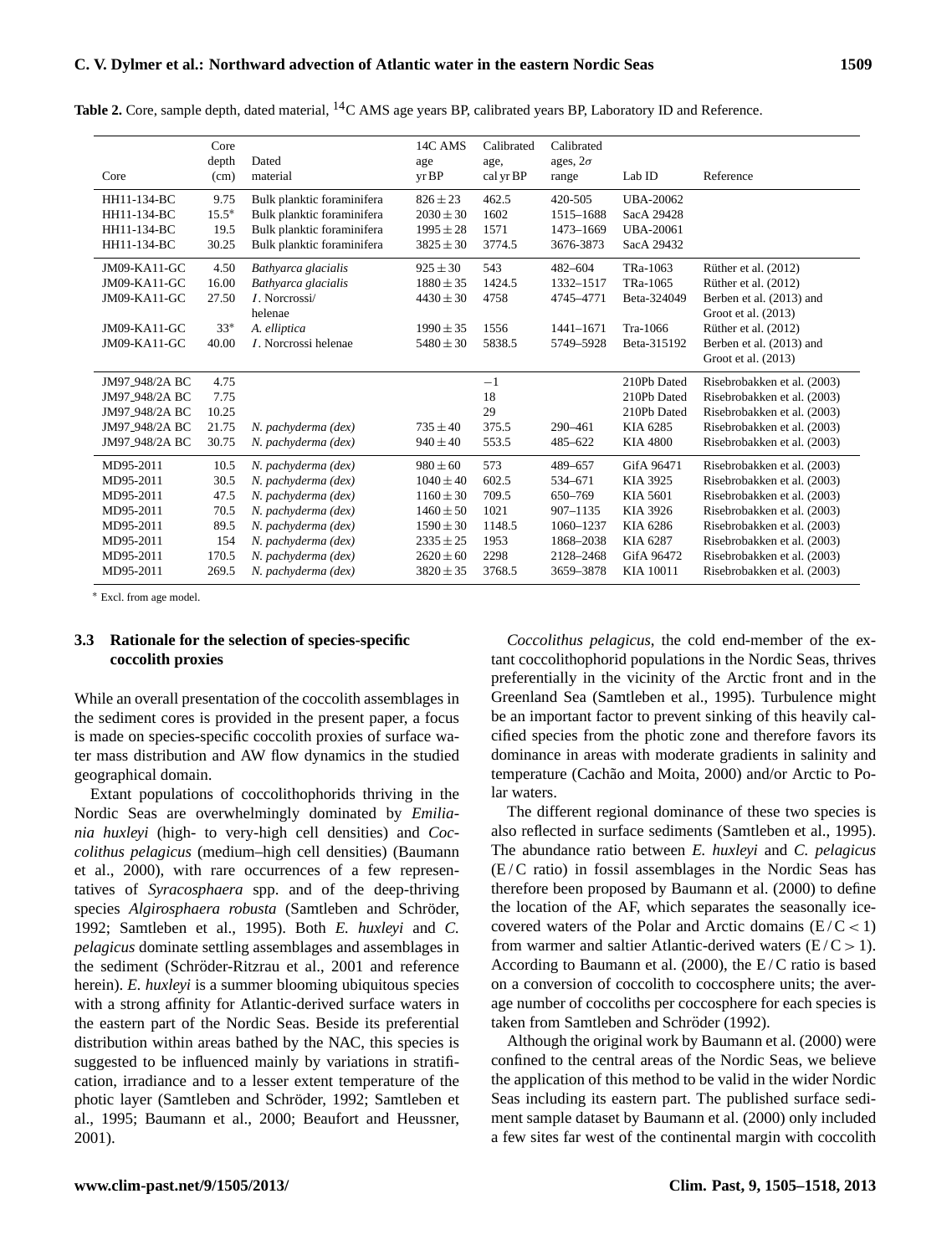| Core                        | Core<br>depth<br>(cm) | Dated<br>material            | 14C AMS<br>age<br>yr BP | Calibrated<br>age,<br>cal yr BP | Calibrated<br>ages, $2\sigma$<br>range | Lab ID                | Reference                   |
|-----------------------------|-----------------------|------------------------------|-------------------------|---------------------------------|----------------------------------------|-----------------------|-----------------------------|
| HH11-134-BC                 | 9.75                  | Bulk planktic foraminifera   | $826 \pm 23$            | 462.5                           | 420-505                                | <b>UBA-20062</b>      |                             |
| HH11-134-BC                 | $15.5*$               | Bulk planktic foraminifera   | $2030 \pm 30$           | 1602                            | 1515-1688                              | SacA 29428            |                             |
| HH11-134-BC                 | 19.5                  | Bulk planktic foraminifera   | $1995 \pm 28$           | 1571                            | 1473-1669                              | <b>UBA-20061</b>      |                             |
| HH11-134-BC                 | 30.25                 | Bulk planktic foraminifera   | $3825 \pm 30$           | 3774.5                          | 3676-3873                              | SacA 29432            |                             |
| $JM09-KA11-GC$              | 4.50                  | Bathyarca glacialis          | $925 \pm 30$            | 543                             | 482-604                                | TR <sub>a</sub> -1063 | Rüther et al. (2012)        |
| JM09-KA11-GC                | 16.00                 | Bathyarca glacialis          | $1880 \pm 35$           | 1424.5                          | 1332-1517                              | TRa-1065              | Rüther et al. (2012)        |
| JM09-KA11-GC                | 27.50                 | <i>I</i> . Norcrossi/        | $4430 \pm 30$           | 4758                            | 4745-4771                              | Beta-324049           | Berben et al. (2013) and    |
|                             |                       | helenae                      |                         |                                 |                                        |                       | Groot et al. $(2013)$       |
| JM09-KA11-GC                | $33*$                 | A. elliptica                 | $1990 \pm 35$           | 1556                            | 1441-1671                              | Tra-1066              | Rüther et al. (2012)        |
| JM09-KA11-GC                | 40.00                 | <i>I</i> . Norcrossi helenae | $5480 \pm 30$           | 5838.5                          | 5749-5928                              | Beta-315192           | Berben et al. (2013) and    |
|                             |                       |                              |                         |                                 |                                        |                       | Groot et al. (2013)         |
| JM97 <sub>-948</sub> /2A BC | 4.75                  |                              |                         | $-1$                            |                                        | 210Pb Dated           | Risebrobakken et al. (2003) |
| JM97_948/2A BC              | 7.75                  |                              |                         | 18                              |                                        | 210Pb Dated           | Risebrobakken et al. (2003) |
| JM97 <sub>-948</sub> /2A BC | 10.25                 |                              |                         | 29                              |                                        | 210Pb Dated           | Risebrobakken et al. (2003) |
| JM97 <sub>-948</sub> /2A BC | 21.75                 | N. pachyderma (dex)          | $735 \pm 40$            | 375.5                           | 290-461                                | KIA 6285              | Risebrobakken et al. (2003) |
| JM97_948/2A BC              | 30.75                 | N. pachyderma (dex)          | $940 \pm 40$            | 553.5                           | 485-622                                | <b>KIA 4800</b>       | Risebrobakken et al. (2003) |
| MD95-2011                   | 10.5                  | N. pachyderma (dex)          | $980 \pm 60$            | 573                             | 489-657                                | GifA 96471            | Risebrobakken et al. (2003) |
| MD95-2011                   | 30.5                  | N. pachyderma (dex)          | $1040 \pm 40$           | 602.5                           | 534-671                                | KIA 3925              | Risebrobakken et al. (2003) |
| MD95-2011                   | 47.5                  | N. pachyderma (dex)          | $1160 \pm 30$           | 709.5                           | 650-769                                | KIA 5601              | Risebrobakken et al. (2003) |
| MD95-2011                   | 70.5                  | N. pachyderma (dex)          | $1460 \pm 50$           | 1021                            | 907-1135                               | KIA 3926              | Risebrobakken et al. (2003) |
| MD95-2011                   | 89.5                  | N. pachyderma (dex)          | $1590 \pm 30$           | 1148.5                          | 1060-1237                              | KIA 6286              | Risebrobakken et al. (2003) |
| MD95-2011                   | 154                   | N. pachyderma (dex)          | $2335 \pm 25$           | 1953                            | 1868-2038                              | KIA 6287              | Risebrobakken et al. (2003) |
| MD95-2011                   | 170.5                 | N. pachyderma (dex)          | $2620 \pm 60$           | 2298                            | 2128-2468                              | GifA 96472            | Risebrobakken et al. (2003) |
| MD95-2011                   | 269.5                 | N. pachyderma (dex)          | $3820 \pm 35$           | 3768.5                          | 3659-3878                              | KIA 10011             | Risebrobakken et al. (2003) |

**Table 2.** Core, sample depth, dated material, <sup>14</sup>C AMS age years BP, calibrated years BP, Laboratory ID and Reference.

<sup>∗</sup> Excl. from age model.

## **3.3 Rationale for the selection of species-specific coccolith proxies**

While an overall presentation of the coccolith assemblages in the sediment cores is provided in the present paper, a focus is made on species-specific coccolith proxies of surface water mass distribution and AW flow dynamics in the studied geographical domain.

Extant populations of coccolithophorids thriving in the Nordic Seas are overwhelmingly dominated by *Emiliania huxleyi* (high- to very-high cell densities) and *Coccolithus pelagicus* (medium–high cell densities) (Baumann et al., 2000), with rare occurrences of a few representatives of *Syracosphaera* spp. and of the deep-thriving species *Algirosphaera robusta* (Samtleben and Schröder, 1992; Samtleben et al., 1995). Both *E. huxleyi* and *C. pelagicus* dominate settling assemblages and assemblages in the sediment (Schröder-Ritzrau et al., 2001 and reference herein). *E. huxleyi* is a summer blooming ubiquitous species with a strong affinity for Atlantic-derived surface waters in the eastern part of the Nordic Seas. Beside its preferential distribution within areas bathed by the NAC, this species is suggested to be influenced mainly by variations in stratification, irradiance and to a lesser extent temperature of the photic layer (Samtleben and Schröder, 1992; Samtleben et al., 1995; Baumann et al., 2000; Beaufort and Heussner, 2001).

*Coccolithus pelagicus*, the cold end-member of the extant coccolithophorid populations in the Nordic Seas, thrives preferentially in the vicinity of the Arctic front and in the Greenland Sea (Samtleben et al., 1995). Turbulence might be an important factor to prevent sinking of this heavily calcified species from the photic zone and therefore favors its dominance in areas with moderate gradients in salinity and temperature (Cachão and Moita, 2000) and/or Arctic to Polar waters.

The different regional dominance of these two species is also reflected in surface sediments (Samtleben et al., 1995). The abundance ratio between *E. huxleyi* and *C. pelagicus*  $(E/C$  ratio) in fossil assemblages in the Nordic Seas has therefore been proposed by Baumann et al. (2000) to define the location of the AF, which separates the seasonally icecovered waters of the Polar and Arctic domains  $(E/C < 1)$ from warmer and saltier Atlantic-derived waters  $(E/C > 1)$ . According to Baumann et al. (2000), the  $E/C$  ratio is based on a conversion of coccolith to coccosphere units; the average number of coccoliths per coccosphere for each species is taken from Samtleben and Schröder (1992).

Although the original work by Baumann et al. (2000) were confined to the central areas of the Nordic Seas, we believe the application of this method to be valid in the wider Nordic Seas including its eastern part. The published surface sediment sample dataset by Baumann et al. (2000) only included a few sites far west of the continental margin with coccolith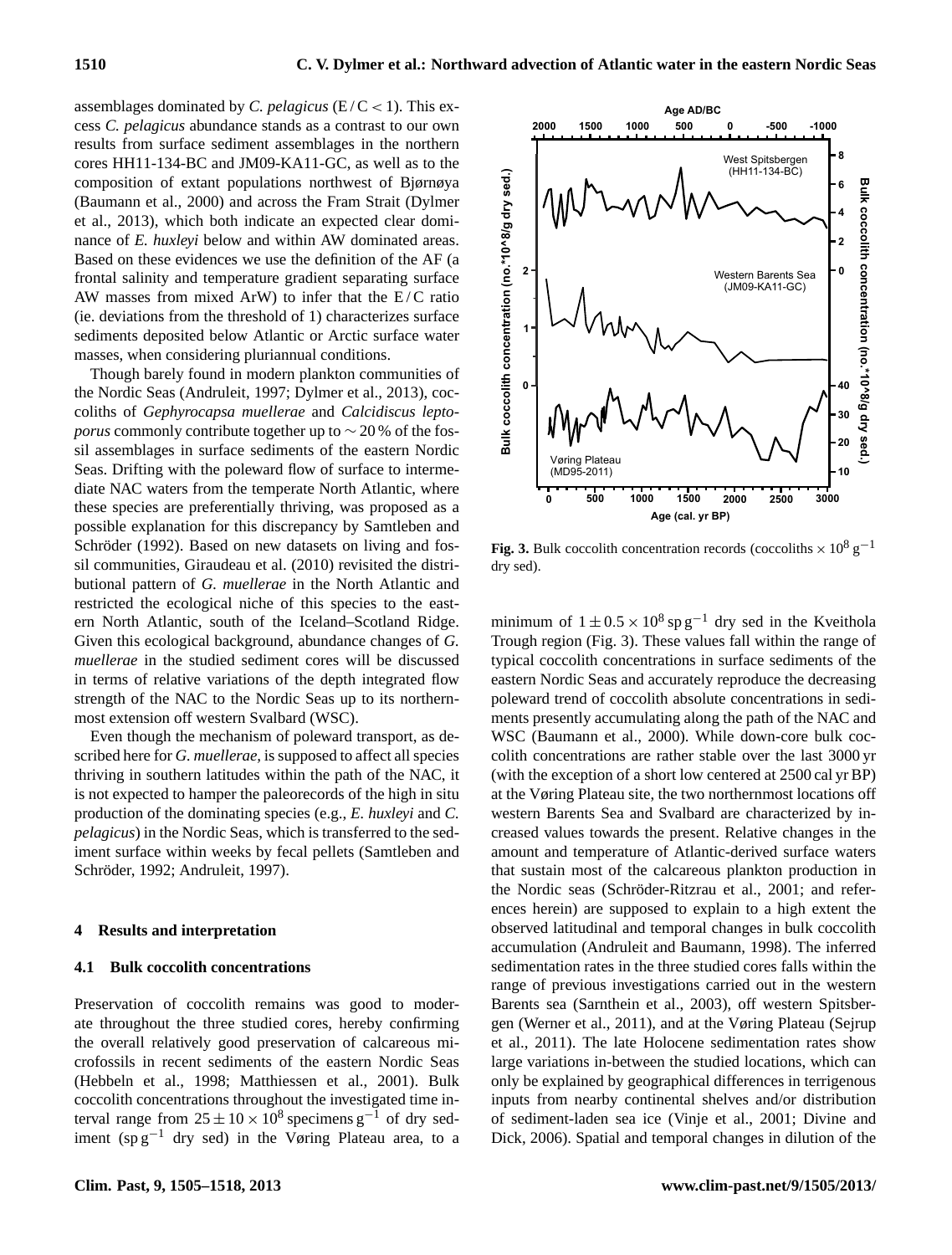assemblages dominated by *C. pelagicus* ( $E/C < 1$ ). This excess *C. pelagicus* abundance stands as a contrast to our own results from surface sediment assemblages in the northern cores HH11-134-BC and JM09-KA11-GC, as well as to the composition of extant populations northwest of Bjørnøya (Baumann et al., 2000) and across the Fram Strait (Dylmer et al., 2013), which both indicate an expected clear dominance of *E. huxleyi* below and within AW dominated areas. Based on these evidences we use the definition of the AF (a frontal salinity and temperature gradient separating surface AW masses from mixed ArW) to infer that the  $E/C$  ratio (ie. deviations from the threshold of 1) characterizes surface sediments deposited below Atlantic or Arctic surface water masses, when considering pluriannual conditions.

Though barely found in modern plankton communities of the Nordic Seas (Andruleit, 1997; Dylmer et al., 2013), coccoliths of *Gephyrocapsa muellerae* and *Calcidiscus leptoporus* commonly contribute together up to ~20 % of the fossil assemblages in surface sediments of the eastern Nordic Seas. Drifting with the poleward flow of surface to intermediate NAC waters from the temperate North Atlantic, where these species are preferentially thriving, was proposed as a possible explanation for this discrepancy by Samtleben and Schröder (1992). Based on new datasets on living and fossil communities, Giraudeau et al. (2010) revisited the distributional pattern of *G. muellerae* in the North Atlantic and restricted the ecological niche of this species to the eastern North Atlantic, south of the Iceland–Scotland Ridge. Given this ecological background, abundance changes of *G. muellerae* in the studied sediment cores will be discussed in terms of relative variations of the depth integrated flow strength of the NAC to the Nordic Seas up to its northernmost extension off western Svalbard (WSC). composition of C xtarta populations northweat of Bigmaya<br>
encores consider and with AW dominated area, to a parameter at a, 2013), which both indicate an expected clear dominated area.<br>
Based on these evidences we use th

Even though the mechanism of poleward transport, as described here for *G. muellerae,* is supposed to affect all species thriving in southern latitudes within the path of the NAC, it is not expected to hamper the paleorecords of the high in situ production of the dominating species (e.g., *E. huxleyi* and *C. pelagicus*) in the Nordic Seas, which is transferred to the sediment surface within weeks by fecal pellets (Samtleben and Schröder, 1992; Andruleit, 1997).

#### **4 Results and interpretation**

#### **4.1 Bulk coccolith concentrations**

Preservation of coccolith remains was good to moderate throughout the three studied cores, hereby confirming the overall relatively good preservation of calcareous microfossils in recent sediments of the eastern Nordic Seas (Hebbeln et al., 1998; Matthiessen et al., 2001). Bulk coccolith concentrations throughout the investigated time interval range from  $25 \pm 10 \times 10^8$  specimens g<sup>-1</sup> of dry sed-



**Fig. 3.** Bulk coccolith concentration records (coccoliths  $\times 10^8$  g<sup>-1</sup> dry sed).

minimum of  $1 \pm 0.5 \times 10^8$  sp g<sup>-1</sup> dry sed in the Kveithola Trough region (Fig. 3). These values fall within the range of typical coccolith concentrations in surface sediments of the eastern Nordic Seas and accurately reproduce the decreasing poleward trend of coccolith absolute concentrations in sediments presently accumulating along the path of the NAC and WSC (Baumann et al., 2000). While down-core bulk coccolith concentrations are rather stable over the last 3000 yr (with the exception of a short low centered at 2500 cal yr BP) at the Vøring Plateau site, the two northernmost locations off western Barents Sea and Svalbard are characterized by increased values towards the present. Relative changes in the amount and temperature of Atlantic-derived surface waters that sustain most of the calcareous plankton production in the Nordic seas (Schröder-Ritzrau et al., 2001; and references herein) are supposed to explain to a high extent the observed latitudinal and temporal changes in bulk coccolith accumulation (Andruleit and Baumann, 1998). The inferred sedimentation rates in the three studied cores falls within the range of previous investigations carried out in the western Barents sea (Sarnthein et al., 2003), off western Spitsbergen (Werner et al., 2011), and at the Vøring Plateau (Sejrup et al., 2011). The late Holocene sedimentation rates show large variations in-between the studied locations, which can only be explained by geographical differences in terrigenous inputs from nearby continental shelves and/or distribution of sediment-laden sea ice (Vinje et al., 2001; Divine and Dick, 2006). Spatial and temporal changes in dilution of the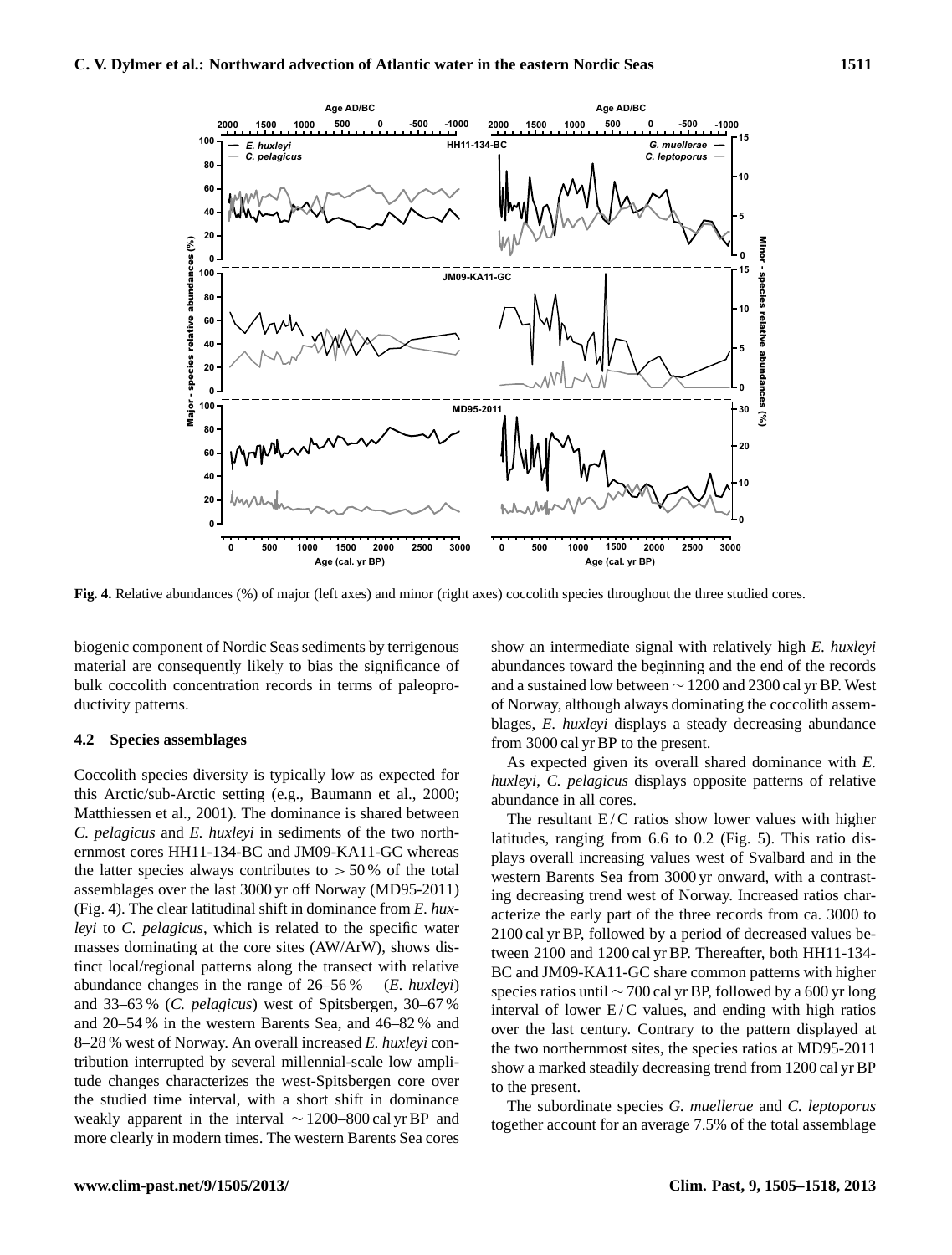

**Fig. 4.** Relative abundances (%) of major (left axes) and minor (right axes) coccolith species throughout the three studied cores.

biogenic component of Nordic Seas sediments by terrigenous material are consequently likely to bias the significance of bulk coccolith concentration records in terms of paleoproductivity patterns.

#### **4.2 Species assemblages**

Coccolith species diversity is typically low as expected for this Arctic/sub-Arctic setting (e.g., Baumann et al., 2000; Matthiessen et al., 2001). The dominance is shared between *C. pelagicus* and *E. huxleyi* in sediments of the two northernmost cores HH11-134-BC and JM09-KA11-GC whereas the latter species always contributes to  $> 50\%$  of the total assemblages over the last 3000 yr off Norway (MD95-2011) (Fig. 4). The clear latitudinal shift in dominance from *E. huxleyi* to *C. pelagicus*, which is related to the specific water masses dominating at the core sites (AW/ArW), shows distinct local/regional patterns along the transect with relative abundance changes in the range of 26–56 % (*E. huxleyi*) and 33–63 % (*C. pelagicus*) west of Spitsbergen, 30–67 % and 20–54 % in the western Barents Sea, and 46–82 % and 8–28 % west of Norway. An overall increased *E. huxleyi* contribution interrupted by several millennial-scale low amplitude changes characterizes the west-Spitsbergen core over the studied time interval, with a short shift in dominance weakly apparent in the interval ∼ 1200–800 cal yr BP and more clearly in modern times. The western Barents Sea cores show an intermediate signal with relatively high *E. huxleyi* abundances toward the beginning and the end of the records and a sustained low between ∼ 1200 and 2300 cal yr BP. West of Norway, although always dominating the coccolith assemblages, *E. huxleyi* displays a steady decreasing abundance from 3000 cal yr BP to the present.

As expected given its overall shared dominance with *E. huxleyi*, *C. pelagicus* displays opposite patterns of relative abundance in all cores.

The resultant  $E/C$  ratios show lower values with higher latitudes, ranging from 6.6 to 0.2 (Fig. 5). This ratio displays overall increasing values west of Svalbard and in the western Barents Sea from 3000 yr onward, with a contrasting decreasing trend west of Norway. Increased ratios characterize the early part of the three records from ca. 3000 to 2100 cal yr BP, followed by a period of decreased values between 2100 and 1200 cal yr BP. Thereafter, both HH11-134- BC and JM09-KA11-GC share common patterns with higher species ratios until ∼ 700 cal yr BP, followed by a 600 yr long interval of lower  $E/C$  values, and ending with high ratios over the last century. Contrary to the pattern displayed at the two northernmost sites, the species ratios at MD95-2011 show a marked steadily decreasing trend from 1200 cal yr BP to the present.

The subordinate species *G. muellerae* and *C. leptoporus* together account for an average 7.5% of the total assemblage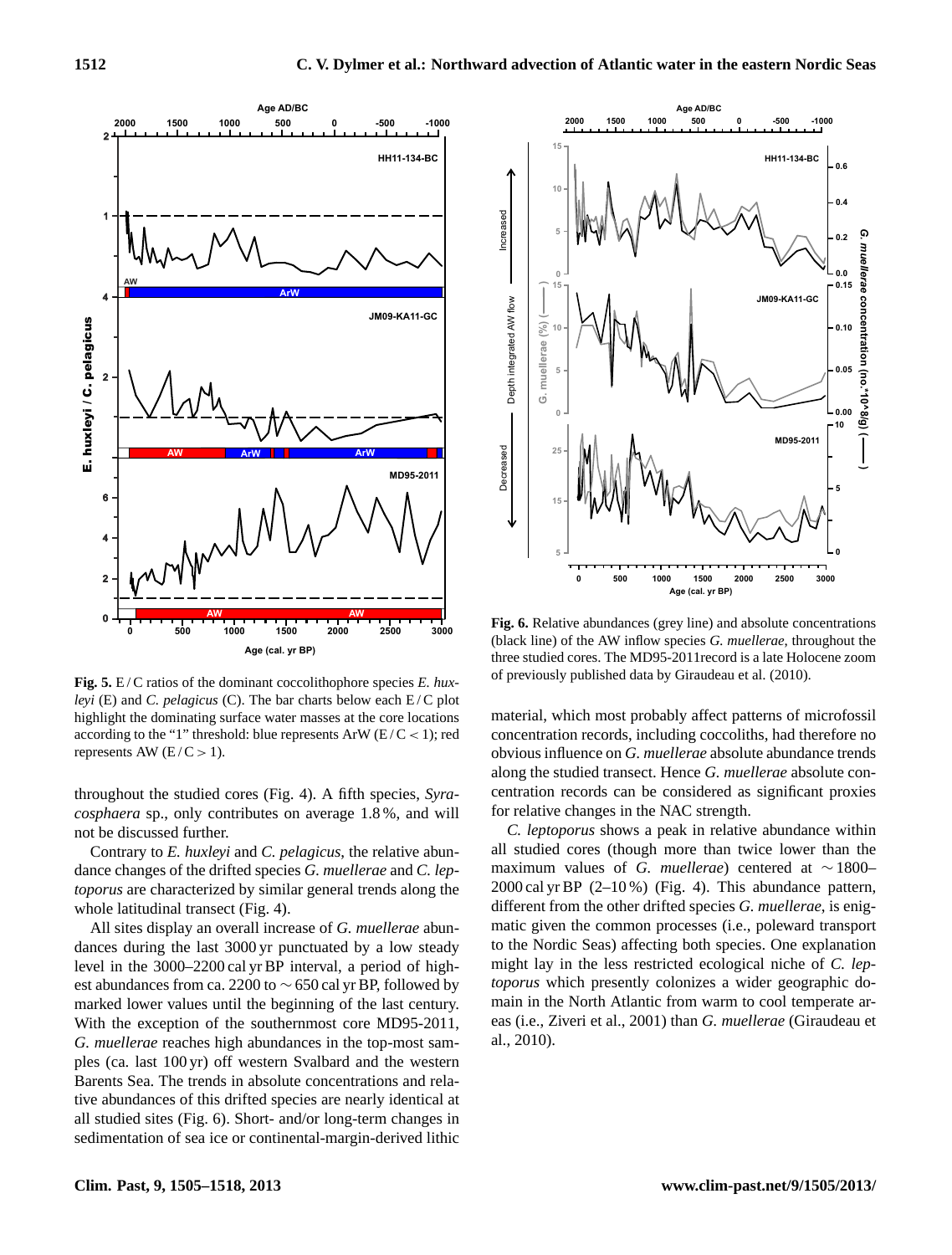

**Fig. 5.** E/C ratios of the dominant coccolithophore species *E. huxleyi* (E) and *C. pelagicus* (C). The bar charts below each E/C plot highlight the dominating surface water masses at the core locations according to the "1" threshold: blue represents ArW ( $E/C < 1$ ); red represents AW  $(E/C > 1)$ .

throughout the studied cores (Fig. 4). A fifth species, *Syracosphaera* sp., only contributes on average 1.8 %, and will not be discussed further.

Contrary to *E. huxleyi* and *C. pelagicus*, the relative abundance changes of the drifted species *G. muellerae* and *C. leptoporus* are characterized by similar general trends along the whole latitudinal transect (Fig. 4).

All sites display an overall increase of *G. muellerae* abundances during the last 3000 yr punctuated by a low steady level in the 3000–2200 cal yr BP interval, a period of highest abundances from ca. 2200 to  $\sim$  650 cal yr BP, followed by marked lower values until the beginning of the last century. With the exception of the southernmost core MD95-2011, *G. muellerae* reaches high abundances in the top-most samples (ca. last 100 yr) off western Svalbard and the western Barents Sea. The trends in absolute concentrations and relative abundances of this drifted species are nearly identical at all studied sites (Fig. 6). Short- and/or long-term changes in sedimentation of sea ice or continental-margin-derived lithic



**Fig. 6.** Relative abundances (grey line) and absolute concentrations (black line) of the AW inflow species *G. muellerae*, throughout the three studied cores. The MD95-2011record is a late Holocene zoom of previously published data by Giraudeau et al. (2010).

material, which most probably affect patterns of microfossil concentration records, including coccoliths, had therefore no obvious influence on *G. muellerae* absolute abundance trends along the studied transect. Hence *G. muellerae* absolute concentration records can be considered as significant proxies for relative changes in the NAC strength.

*C. leptoporus* shows a peak in relative abundance within all studied cores (though more than twice lower than the maximum values of *G. muellerae*) centered at ∼ 1800– 2000 cal yr BP (2–10 %) (Fig. 4). This abundance pattern, different from the other drifted species *G. muellerae*, is enigmatic given the common processes (i.e., poleward transport to the Nordic Seas) affecting both species. One explanation might lay in the less restricted ecological niche of *C. leptoporus* which presently colonizes a wider geographic domain in the North Atlantic from warm to cool temperate areas (i.e., Ziveri et al., 2001) than *G. muellerae* (Giraudeau et al., 2010).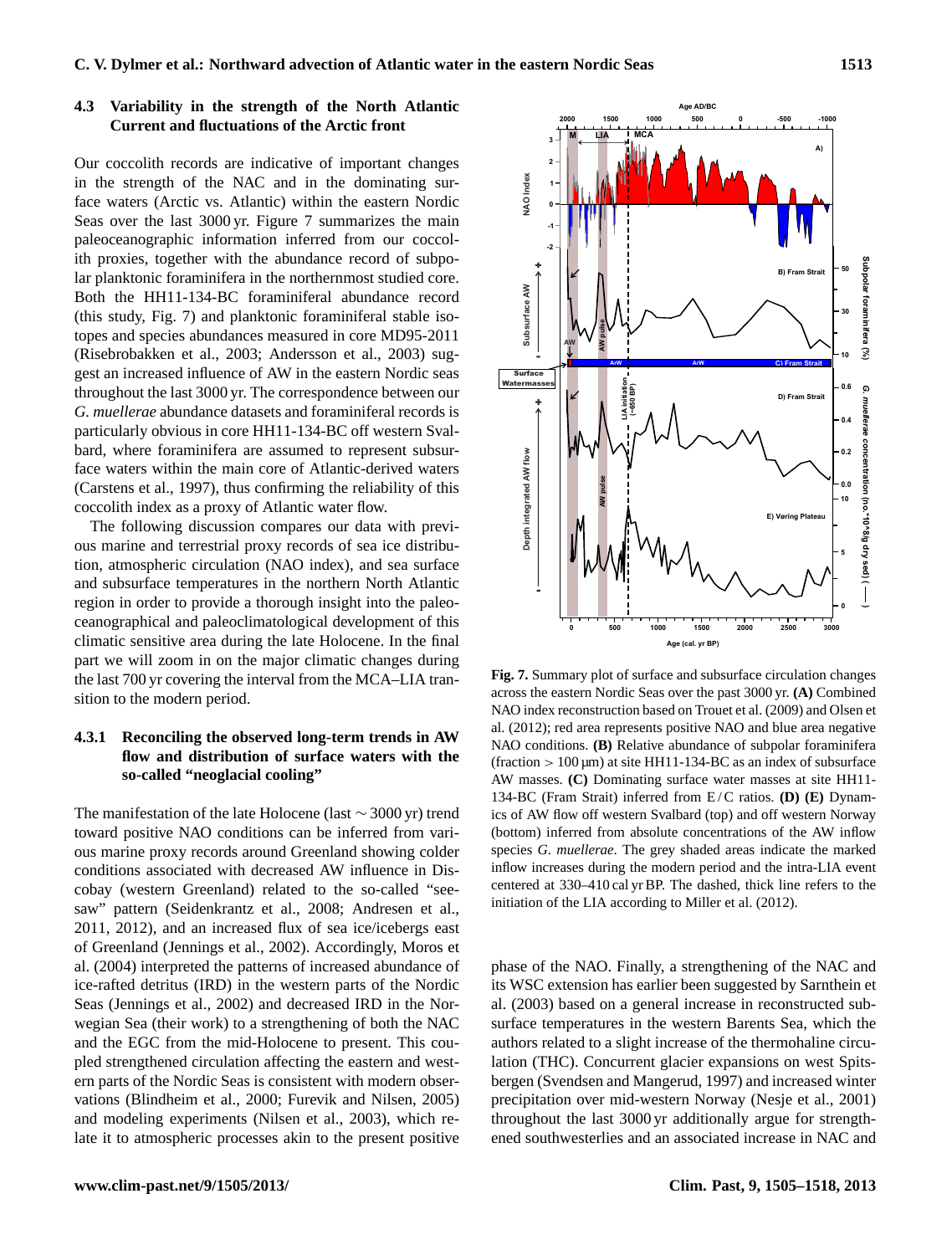## **4.3 Variability in the strength of the North Atlantic Current and fluctuations of the Arctic front**

Our coccolith records are indicative of important changes in the strength of the NAC and in the dominating surface waters (Arctic vs. Atlantic) within the eastern Nordic Seas over the last 3000 yr. Figure 7 summarizes the main paleoceanographic information inferred from our coccolith proxies, together with the abundance record of subpolar planktonic foraminifera in the northernmost studied core. Both the HH11-134-BC foraminiferal abundance record (this study, Fig. 7) and planktonic foraminiferal stable isotopes and species abundances measured in core MD95-2011 (Risebrobakken et al., 2003; Andersson et al., 2003) suggest an increased influence of AW in the eastern Nordic seas throughout the last 3000 yr. The correspondence between our *G. muellerae* abundance datasets and foraminiferal records is particularly obvious in core HH11-134-BC off western Svalbard, where foraminifera are assumed to represent subsurface waters within the main core of Atlantic-derived waters (Carstens et al., 1997), thus confirming the reliability of this coccolith index as a proxy of Atlantic water flow.

The following discussion compares our data with previous marine and terrestrial proxy records of sea ice distribution, atmospheric circulation (NAO index), and sea surface and subsurface temperatures in the northern North Atlantic region in order to provide a thorough insight into the paleoceanographical and paleoclimatological development of this climatic sensitive area during the late Holocene. In the final part we will zoom in on the major climatic changes during the last 700 yr covering the interval from the MCA–LIA transition to the modern period.

## **4.3.1 Reconciling the observed long-term trends in AW flow and distribution of surface waters with the so-called "neoglacial cooling"**

The manifestation of the late Holocene (last ∼ 3000 yr) trend toward positive NAO conditions can be inferred from various marine proxy records around Greenland showing colder conditions associated with decreased AW influence in Discobay (western Greenland) related to the so-called "seesaw" pattern (Seidenkrantz et al., 2008; Andresen et al., 2011, 2012), and an increased flux of sea ice/icebergs east of Greenland (Jennings et al., 2002). Accordingly, Moros et al. (2004) interpreted the patterns of increased abundance of ice-rafted detritus (IRD) in the western parts of the Nordic Seas (Jennings et al., 2002) and decreased IRD in the Norwegian Sea (their work) to a strengthening of both the NAC and the EGC from the mid-Holocene to present. This coupled strengthened circulation affecting the eastern and western parts of the Nordic Seas is consistent with modern observations (Blindheim et al., 2000; Furevik and Nilsen, 2005) and modeling experiments (Nilsen et al., 2003), which relate it to atmospheric processes akin to the present positive



**Fig. 7.** Summary plot of surface and subsurface circulation changes across the eastern Nordic Seas over the past 3000 yr. **(A)** Combined NAO index reconstruction based on Trouet et al. (2009) and Olsen et al. (2012); red area represents positive NAO and blue area negative NAO conditions. **(B)** Relative abundance of subpolar foraminifera  $(fraction > 100 \,\mu m)$  at site HH11-134-BC as an index of subsurface AW masses. **(C)** Dominating surface water masses at site HH11- 134-BC (Fram Strait) inferred from E / C ratios. **(D) (E)** Dynamics of AW flow off western Svalbard (top) and off western Norway (bottom) inferred from absolute concentrations of the AW inflow species *G. muellerae*. The grey shaded areas indicate the marked inflow increases during the modern period and the intra-LIA event centered at 330–410 cal yr BP. The dashed, thick line refers to the initiation of the LIA according to Miller et al. (2012).

phase of the NAO. Finally, a strengthening of the NAC and its WSC extension has earlier been suggested by Sarnthein et al. (2003) based on a general increase in reconstructed subsurface temperatures in the western Barents Sea, which the authors related to a slight increase of the thermohaline circulation (THC). Concurrent glacier expansions on west Spitsbergen (Svendsen and Mangerud, 1997) and increased winter precipitation over mid-western Norway (Nesje et al., 2001) throughout the last 3000 yr additionally argue for strengthened southwesterlies and an associated increase in NAC and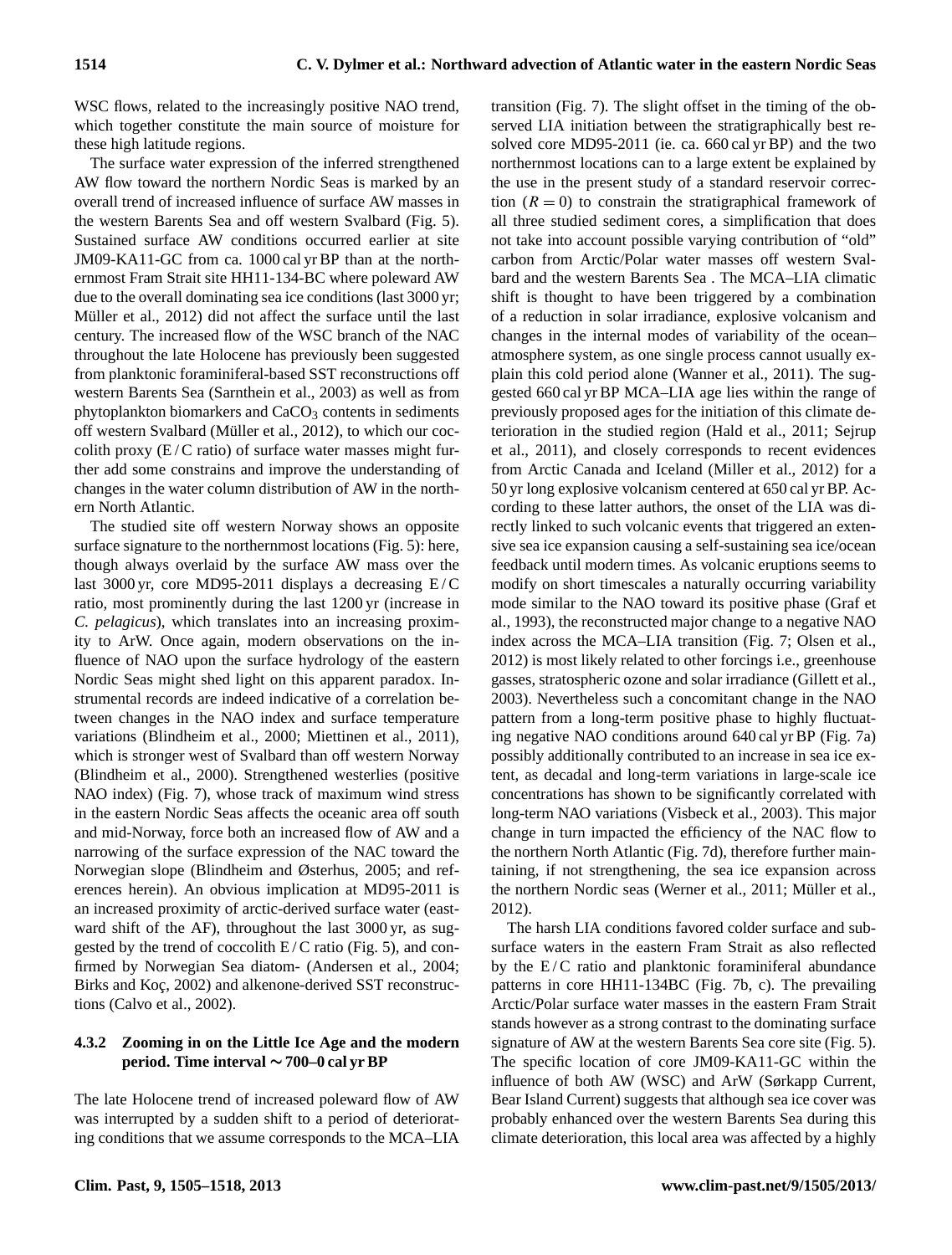WSC flows, related to the increasingly positive NAO trend, which together constitute the main source of moisture for these high latitude regions.

The surface water expression of the inferred strengthened AW flow toward the northern Nordic Seas is marked by an overall trend of increased influence of surface AW masses in the western Barents Sea and off western Svalbard (Fig. 5). Sustained surface AW conditions occurred earlier at site JM09-KA11-GC from ca. 1000 cal yr BP than at the northernmost Fram Strait site HH11-134-BC where poleward AW due to the overall dominating sea ice conditions (last 3000 yr; Müller et al., 2012) did not affect the surface until the last century. The increased flow of the WSC branch of the NAC throughout the late Holocene has previously been suggested from planktonic foraminiferal-based SST reconstructions off western Barents Sea (Sarnthein et al., 2003) as well as from phytoplankton biomarkers and  $CaCO<sub>3</sub>$  contents in sediments off western Svalbard (Müller et al., 2012), to which our coccolith proxy  $(E/C \text{ ratio})$  of surface water masses might further add some constrains and improve the understanding of changes in the water column distribution of AW in the northern North Atlantic.

The studied site off western Norway shows an opposite surface signature to the northernmost locations (Fig. 5): here, though always overlaid by the surface AW mass over the last 3000 yr, core MD95-2011 displays a decreasing  $E/C$ ratio, most prominently during the last 1200 yr (increase in *C. pelagicus*), which translates into an increasing proximity to ArW. Once again, modern observations on the influence of NAO upon the surface hydrology of the eastern Nordic Seas might shed light on this apparent paradox. Instrumental records are indeed indicative of a correlation between changes in the NAO index and surface temperature variations (Blindheim et al., 2000; Miettinen et al., 2011), which is stronger west of Svalbard than off western Norway (Blindheim et al., 2000). Strengthened westerlies (positive NAO index) (Fig. 7), whose track of maximum wind stress in the eastern Nordic Seas affects the oceanic area off south and mid-Norway, force both an increased flow of AW and a narrowing of the surface expression of the NAC toward the Norwegian slope (Blindheim and Østerhus, 2005; and references herein). An obvious implication at MD95-2011 is an increased proximity of arctic-derived surface water (eastward shift of the AF), throughout the last 3000 yr, as suggested by the trend of coccolith  $E/C$  ratio (Fig. 5), and confirmed by Norwegian Sea diatom- (Andersen et al., 2004; Birks and Koç, 2002) and alkenone-derived SST reconstructions (Calvo et al., 2002).

## **4.3.2 Zooming in on the Little Ice Age and the modern period. Time interval** ∼ **700–0 cal yr BP**

The late Holocene trend of increased poleward flow of AW was interrupted by a sudden shift to a period of deteriorating conditions that we assume corresponds to the MCA–LIA transition (Fig. 7). The slight offset in the timing of the observed LIA initiation between the stratigraphically best resolved core MD95-2011 (ie. ca. 660 cal yr BP) and the two northernmost locations can to a large extent be explained by the use in the present study of a standard reservoir correction  $(R = 0)$  to constrain the stratigraphical framework of all three studied sediment cores, a simplification that does not take into account possible varying contribution of "old" carbon from Arctic/Polar water masses off western Svalbard and the western Barents Sea . The MCA–LIA climatic shift is thought to have been triggered by a combination of a reduction in solar irradiance, explosive volcanism and changes in the internal modes of variability of the ocean– atmosphere system, as one single process cannot usually explain this cold period alone (Wanner et al., 2011). The suggested 660 cal yr BP MCA–LIA age lies within the range of previously proposed ages for the initiation of this climate deterioration in the studied region (Hald et al., 2011; Sejrup et al., 2011), and closely corresponds to recent evidences from Arctic Canada and Iceland (Miller et al., 2012) for a 50 yr long explosive volcanism centered at 650 cal yr BP. According to these latter authors, the onset of the LIA was directly linked to such volcanic events that triggered an extensive sea ice expansion causing a self-sustaining sea ice/ocean feedback until modern times. As volcanic eruptions seems to modify on short timescales a naturally occurring variability mode similar to the NAO toward its positive phase (Graf et al., 1993), the reconstructed major change to a negative NAO index across the MCA–LIA transition (Fig. 7; Olsen et al., 2012) is most likely related to other forcings i.e., greenhouse gasses, stratospheric ozone and solar irradiance (Gillett et al., 2003). Nevertheless such a concomitant change in the NAO pattern from a long-term positive phase to highly fluctuating negative NAO conditions around 640 cal yr BP (Fig. 7a) possibly additionally contributed to an increase in sea ice extent, as decadal and long-term variations in large-scale ice concentrations has shown to be significantly correlated with long-term NAO variations (Visbeck et al., 2003). This major change in turn impacted the efficiency of the NAC flow to the northern North Atlantic (Fig. 7d), therefore further maintaining, if not strengthening, the sea ice expansion across the northern Nordic seas (Werner et al., 2011; Müller et al., 2012).

The harsh LIA conditions favored colder surface and subsurface waters in the eastern Fram Strait as also reflected by the  $E/C$  ratio and planktonic foraminiferal abundance patterns in core HH11-134BC (Fig. 7b, c). The prevailing Arctic/Polar surface water masses in the eastern Fram Strait stands however as a strong contrast to the dominating surface signature of AW at the western Barents Sea core site (Fig. 5). The specific location of core JM09-KA11-GC within the influence of both AW (WSC) and ArW (Sørkapp Current, Bear Island Current) suggests that although sea ice cover was probably enhanced over the western Barents Sea during this climate deterioration, this local area was affected by a highly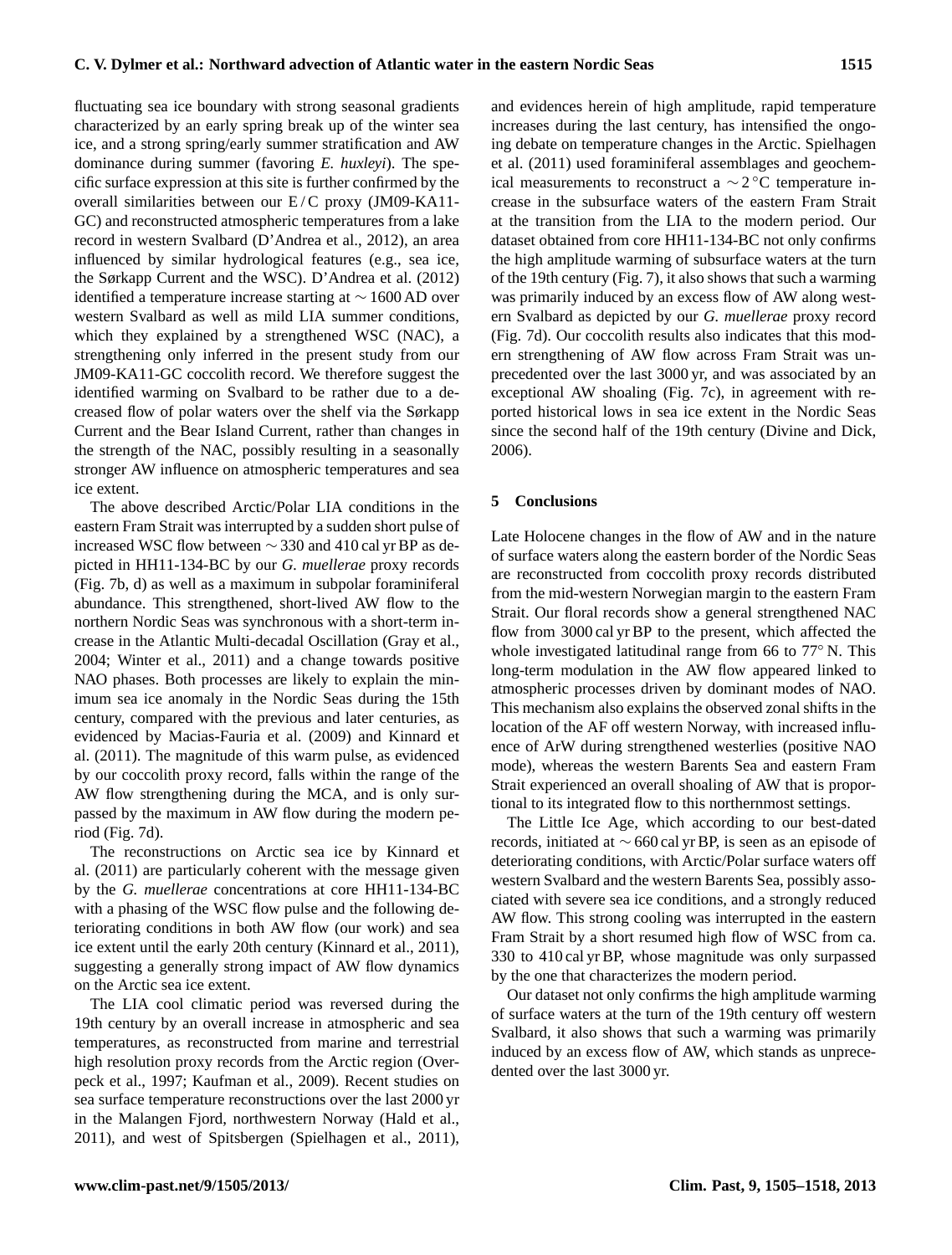fluctuating sea ice boundary with strong seasonal gradients characterized by an early spring break up of the winter sea ice, and a strong spring/early summer stratification and AW dominance during summer (favoring *E. huxleyi*). The specific surface expression at this site is further confirmed by the overall similarities between our  $E/C$  proxy (JM09-KA11-GC) and reconstructed atmospheric temperatures from a lake record in western Svalbard (D'Andrea et al., 2012), an area influenced by similar hydrological features (e.g., sea ice, the Sørkapp Current and the WSC). D'Andrea et al. (2012) identified a temperature increase starting at ∼ 1600 AD over western Svalbard as well as mild LIA summer conditions, which they explained by a strengthened WSC (NAC), a strengthening only inferred in the present study from our JM09-KA11-GC coccolith record. We therefore suggest the identified warming on Svalbard to be rather due to a decreased flow of polar waters over the shelf via the Sørkapp Current and the Bear Island Current, rather than changes in the strength of the NAC, possibly resulting in a seasonally stronger AW influence on atmospheric temperatures and sea ice extent.

The above described Arctic/Polar LIA conditions in the eastern Fram Strait was interrupted by a sudden short pulse of increased WSC flow between  $\sim$  330 and 410 cal yr BP as depicted in HH11-134-BC by our *G. muellerae* proxy records (Fig. 7b, d) as well as a maximum in subpolar foraminiferal abundance. This strengthened, short-lived AW flow to the northern Nordic Seas was synchronous with a short-term increase in the Atlantic Multi-decadal Oscillation (Gray et al., 2004; Winter et al., 2011) and a change towards positive NAO phases. Both processes are likely to explain the minimum sea ice anomaly in the Nordic Seas during the 15th century, compared with the previous and later centuries, as evidenced by Macias-Fauria et al. (2009) and Kinnard et al. (2011). The magnitude of this warm pulse, as evidenced by our coccolith proxy record, falls within the range of the AW flow strengthening during the MCA, and is only surpassed by the maximum in AW flow during the modern period (Fig. 7d).

The reconstructions on Arctic sea ice by Kinnard et al. (2011) are particularly coherent with the message given by the *G. muellerae* concentrations at core HH11-134-BC with a phasing of the WSC flow pulse and the following deteriorating conditions in both AW flow (our work) and sea ice extent until the early 20th century (Kinnard et al., 2011), suggesting a generally strong impact of AW flow dynamics on the Arctic sea ice extent.

The LIA cool climatic period was reversed during the 19th century by an overall increase in atmospheric and sea temperatures, as reconstructed from marine and terrestrial high resolution proxy records from the Arctic region (Overpeck et al., 1997; Kaufman et al., 2009). Recent studies on sea surface temperature reconstructions over the last 2000 yr in the Malangen Fjord, northwestern Norway (Hald et al., 2011), and west of Spitsbergen (Spielhagen et al., 2011), and evidences herein of high amplitude, rapid temperature increases during the last century, has intensified the ongoing debate on temperature changes in the Arctic. Spielhagen et al. (2011) used foraminiferal assemblages and geochemical measurements to reconstruct a  $\sim$  2°C temperature increase in the subsurface waters of the eastern Fram Strait at the transition from the LIA to the modern period. Our dataset obtained from core HH11-134-BC not only confirms the high amplitude warming of subsurface waters at the turn of the 19th century (Fig. 7), it also shows that such a warming was primarily induced by an excess flow of AW along western Svalbard as depicted by our *G. muellerae* proxy record (Fig. 7d). Our coccolith results also indicates that this modern strengthening of AW flow across Fram Strait was unprecedented over the last 3000 yr, and was associated by an exceptional AW shoaling (Fig. 7c), in agreement with reported historical lows in sea ice extent in the Nordic Seas since the second half of the 19th century (Divine and Dick, 2006).

### **5 Conclusions**

Late Holocene changes in the flow of AW and in the nature of surface waters along the eastern border of the Nordic Seas are reconstructed from coccolith proxy records distributed from the mid-western Norwegian margin to the eastern Fram Strait. Our floral records show a general strengthened NAC flow from 3000 cal yr BP to the present, which affected the whole investigated latitudinal range from 66 to 77◦ N. This long-term modulation in the AW flow appeared linked to atmospheric processes driven by dominant modes of NAO. This mechanism also explains the observed zonal shifts in the location of the AF off western Norway, with increased influence of ArW during strengthened westerlies (positive NAO mode), whereas the western Barents Sea and eastern Fram Strait experienced an overall shoaling of AW that is proportional to its integrated flow to this northernmost settings.

The Little Ice Age, which according to our best-dated records, initiated at ∼ 660 cal yr BP, is seen as an episode of deteriorating conditions, with Arctic/Polar surface waters off western Svalbard and the western Barents Sea, possibly associated with severe sea ice conditions, and a strongly reduced AW flow. This strong cooling was interrupted in the eastern Fram Strait by a short resumed high flow of WSC from ca. 330 to 410 cal yr BP, whose magnitude was only surpassed by the one that characterizes the modern period.

Our dataset not only confirms the high amplitude warming of surface waters at the turn of the 19th century off western Svalbard, it also shows that such a warming was primarily induced by an excess flow of AW, which stands as unprecedented over the last 3000 yr.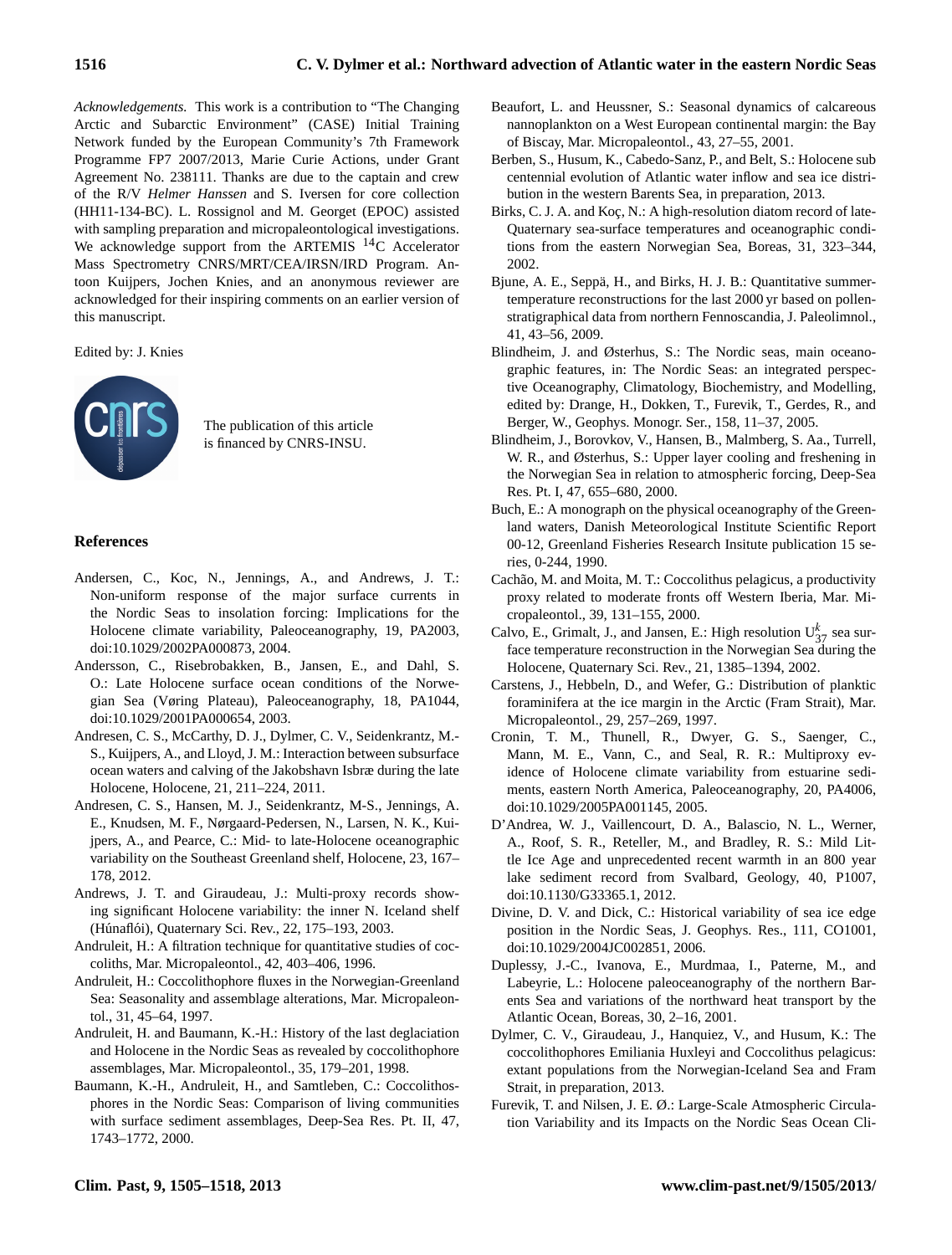*Acknowledgements.* This work is a contribution to "The Changing Arctic and Subarctic Environment" (CASE) Initial Training Network funded by the European Community's 7th Framework Programme FP7 2007/2013, Marie Curie Actions, under Grant Agreement No. 238111. Thanks are due to the captain and crew of the R/V *Helmer Hanssen* and S. Iversen for core collection (HH11-134-BC). L. Rossignol and M. Georget (EPOC) assisted with sampling preparation and micropaleontological investigations. We acknowledge support from the ARTEMIS  $^{14}$ C Accelerator Mass Spectrometry CNRS/MRT/CEA/IRSN/IRD Program. Antoon Kuijpers, Jochen Knies, and an anonymous reviewer are acknowledged for their inspiring comments on an earlier version of this manuscript.

Edited by: J. Knies



The publication of this article is financed by CNRS-INSU.

#### **References**

- Andersen, C., Koc, N., Jennings, A., and Andrews, J. T.: Non-uniform response of the major surface currents in the Nordic Seas to insolation forcing: Implications for the Holocene climate variability, Paleoceanography, 19, PA2003, doi[:10.1029/2002PA000873,](http://dx.doi.org/10.1029/2002PA000873) 2004.
- Andersson, C., Risebrobakken, B., Jansen, E., and Dahl, S. O.: Late Holocene surface ocean conditions of the Norwegian Sea (Vøring Plateau), Paleoceanography, 18, PA1044, doi[:10.1029/2001PA000654,](http://dx.doi.org/10.1029/2001PA000654) 2003.
- Andresen, C. S., McCarthy, D. J., Dylmer, C. V., Seidenkrantz, M.- S., Kuijpers, A., and Lloyd, J. M.: Interaction between subsurface ocean waters and calving of the Jakobshavn Isbræ during the late Holocene, Holocene, 21, 211–224, 2011.
- Andresen, C. S., Hansen, M. J., Seidenkrantz, M-S., Jennings, A. E., Knudsen, M. F., Nørgaard-Pedersen, N., Larsen, N. K., Kuijpers, A., and Pearce, C.: Mid- to late-Holocene oceanographic variability on the Southeast Greenland shelf, Holocene, 23, 167– 178, 2012.
- Andrews, J. T. and Giraudeau, J.: Multi-proxy records showing significant Holocene variability: the inner N. Iceland shelf (Húnaflói), Quaternary Sci. Rev., 22, 175-193, 2003.
- Andruleit, H.: A filtration technique for quantitative studies of coccoliths, Mar. Micropaleontol., 42, 403–406, 1996.
- Andruleit, H.: Coccolithophore fluxes in the Norwegian-Greenland Sea: Seasonality and assemblage alterations, Mar. Micropaleontol., 31, 45–64, 1997.
- Andruleit, H. and Baumann, K.-H.: History of the last deglaciation and Holocene in the Nordic Seas as revealed by coccolithophore assemblages, Mar. Micropaleontol., 35, 179–201, 1998.
- Baumann, K.-H., Andruleit, H., and Samtleben, C.: Coccolithosphores in the Nordic Seas: Comparison of living communities with surface sediment assemblages, Deep-Sea Res. Pt. II, 47, 1743–1772, 2000.
- Beaufort, L. and Heussner, S.: Seasonal dynamics of calcareous nannoplankton on a West European continental margin: the Bay of Biscay, Mar. Micropaleontol., 43, 27–55, 2001.
- Berben, S., Husum, K., Cabedo-Sanz, P., and Belt, S.: Holocene sub centennial evolution of Atlantic water inflow and sea ice distribution in the western Barents Sea, in preparation, 2013.
- Birks, C. J. A. and Koç, N.: A high-resolution diatom record of late-Quaternary sea-surface temperatures and oceanographic conditions from the eastern Norwegian Sea, Boreas, 31, 323–344, 2002.
- Bjune, A. E., Seppä, H., and Birks, H. J. B.: Quantitative summertemperature reconstructions for the last 2000 yr based on pollenstratigraphical data from northern Fennoscandia, J. Paleolimnol., 41, 43–56, 2009.
- Blindheim, J. and Østerhus, S.: The Nordic seas, main oceanographic features, in: The Nordic Seas: an integrated perspective Oceanography, Climatology, Biochemistry, and Modelling, edited by: Drange, H., Dokken, T., Furevik, T., Gerdes, R., and Berger, W., Geophys. Monogr. Ser., 158, 11–37, 2005.
- Blindheim, J., Borovkov, V., Hansen, B., Malmberg, S. Aa., Turrell, W. R., and Østerhus, S.: Upper layer cooling and freshening in the Norwegian Sea in relation to atmospheric forcing, Deep-Sea Res. Pt. I, 47, 655–680, 2000.
- Buch, E.: A monograph on the physical oceanography of the Greenland waters, Danish Meteorological Institute Scientific Report 00-12, Greenland Fisheries Research Insitute publication 15 series, 0-244, 1990.
- Cachão, M. and Moita, M. T.: Coccolithus pelagicus, a productivity proxy related to moderate fronts off Western Iberia, Mar. Micropaleontol., 39, 131–155, 2000.
- Calvo, E., Grimalt, J., and Jansen, E.: High resolution  $U_{37}^{k}$  sea surface temperature reconstruction in the Norwegian Sea during the Holocene, Quaternary Sci. Rev., 21, 1385–1394, 2002.
- Carstens, J., Hebbeln, D., and Wefer, G.: Distribution of planktic foraminifera at the ice margin in the Arctic (Fram Strait), Mar. Micropaleontol., 29, 257–269, 1997.
- Cronin, T. M., Thunell, R., Dwyer, G. S., Saenger, C., Mann, M. E., Vann, C., and Seal, R. R.: Multiproxy evidence of Holocene climate variability from estuarine sediments, eastern North America, Paleoceanography, 20, PA4006, doi[:10.1029/2005PA001145,](http://dx.doi.org/10.1029/2005PA001145) 2005.
- D'Andrea, W. J., Vaillencourt, D. A., Balascio, N. L., Werner, A., Roof, S. R., Reteller, M., and Bradley, R. S.: Mild Little Ice Age and unprecedented recent warmth in an 800 year lake sediment record from Svalbard, Geology, 40, P1007, doi[:10.1130/G33365.1,](http://dx.doi.org/10.1130/G33365.1) 2012.
- Divine, D. V. and Dick, C.: Historical variability of sea ice edge position in the Nordic Seas, J. Geophys. Res., 111, CO1001, doi[:10.1029/2004JC002851,](http://dx.doi.org/10.1029/2004JC002851) 2006.
- Duplessy, J.-C., Ivanova, E., Murdmaa, I., Paterne, M., and Labeyrie, L.: Holocene paleoceanography of the northern Barents Sea and variations of the northward heat transport by the Atlantic Ocean, Boreas, 30, 2–16, 2001.
- Dylmer, C. V., Giraudeau, J., Hanquiez, V., and Husum, K.: The coccolithophores Emiliania Huxleyi and Coccolithus pelagicus: extant populations from the Norwegian-Iceland Sea and Fram Strait, in preparation, 2013.
- Furevik, T. and Nilsen, J. E. Ø.: Large-Scale Atmospheric Circulation Variability and its Impacts on the Nordic Seas Ocean Cli-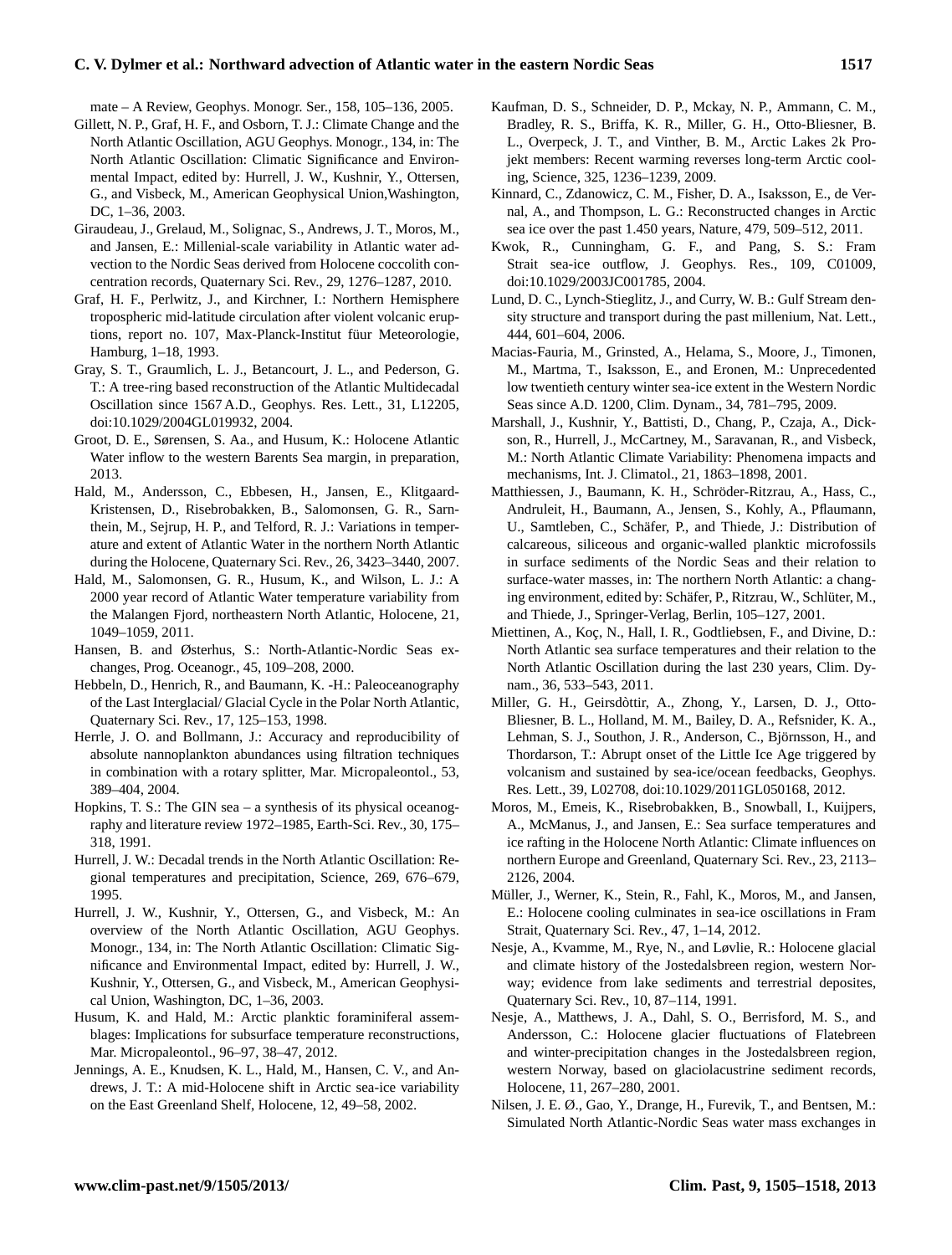## **C. V. Dylmer et al.: Northward advection of Atlantic water in the eastern Nordic Seas 1517**

mate – A Review, Geophys. Monogr. Ser., 158, 105–136, 2005.

- Gillett, N. P., Graf, H. F., and Osborn, T. J.: Climate Change and the North Atlantic Oscillation, AGU Geophys. Monogr., 134, in: The North Atlantic Oscillation: Climatic Significance and Environmental Impact, edited by: Hurrell, J. W., Kushnir, Y., Ottersen, G., and Visbeck, M., American Geophysical Union,Washington, DC, 1–36, 2003.
- Giraudeau, J., Grelaud, M., Solignac, S., Andrews, J. T., Moros, M., and Jansen, E.: Millenial-scale variability in Atlantic water advection to the Nordic Seas derived from Holocene coccolith concentration records, Quaternary Sci. Rev., 29, 1276–1287, 2010.
- Graf, H. F., Perlwitz, J., and Kirchner, I.: Northern Hemisphere tropospheric mid-latitude circulation after violent volcanic eruptions, report no. 107, Max-Planck-Institut füur Meteorologie, Hamburg, 1–18, 1993.
- Gray, S. T., Graumlich, L. J., Betancourt, J. L., and Pederson, G. T.: A tree-ring based reconstruction of the Atlantic Multidecadal Oscillation since 1567 A.D., Geophys. Res. Lett., 31, L12205, doi[:10.1029/2004GL019932,](http://dx.doi.org/10.1029/2004GL019932) 2004.
- Groot, D. E., Sørensen, S. Aa., and Husum, K.: Holocene Atlantic Water inflow to the western Barents Sea margin, in preparation, 2013.
- Hald, M., Andersson, C., Ebbesen, H., Jansen, E., Klitgaard-Kristensen, D., Risebrobakken, B., Salomonsen, G. R., Sarnthein, M., Sejrup, H. P., and Telford, R. J.: Variations in temperature and extent of Atlantic Water in the northern North Atlantic during the Holocene, Quaternary Sci. Rev., 26, 3423–3440, 2007.
- Hald, M., Salomonsen, G. R., Husum, K., and Wilson, L. J.: A 2000 year record of Atlantic Water temperature variability from the Malangen Fjord, northeastern North Atlantic, Holocene, 21, 1049–1059, 2011.
- Hansen, B. and Østerhus, S.: North-Atlantic-Nordic Seas exchanges, Prog. Oceanogr., 45, 109–208, 2000.
- Hebbeln, D., Henrich, R., and Baumann, K. -H.: Paleoceanography of the Last Interglacial/ Glacial Cycle in the Polar North Atlantic, Quaternary Sci. Rev., 17, 125–153, 1998.
- Herrle, J. O. and Bollmann, J.: Accuracy and reproducibility of absolute nannoplankton abundances using filtration techniques in combination with a rotary splitter, Mar. Micropaleontol., 53, 389–404, 2004.
- Hopkins, T. S.: The GIN sea a synthesis of its physical oceanography and literature review 1972–1985, Earth-Sci. Rev., 30, 175– 318, 1991.
- Hurrell, J. W.: Decadal trends in the North Atlantic Oscillation: Regional temperatures and precipitation, Science, 269, 676–679, 1995.
- Hurrell, J. W., Kushnir, Y., Ottersen, G., and Visbeck, M.: An overview of the North Atlantic Oscillation, AGU Geophys. Monogr., 134, in: The North Atlantic Oscillation: Climatic Significance and Environmental Impact, edited by: Hurrell, J. W., Kushnir, Y., Ottersen, G., and Visbeck, M., American Geophysical Union, Washington, DC, 1–36, 2003.
- Husum, K. and Hald, M.: Arctic planktic foraminiferal assemblages: Implications for subsurface temperature reconstructions, Mar. Micropaleontol., 96–97, 38–47, 2012.
- Jennings, A. E., Knudsen, K. L., Hald, M., Hansen, C. V., and Andrews, J. T.: A mid-Holocene shift in Arctic sea-ice variability on the East Greenland Shelf, Holocene, 12, 49–58, 2002.
- Kaufman, D. S., Schneider, D. P., Mckay, N. P., Ammann, C. M., Bradley, R. S., Briffa, K. R., Miller, G. H., Otto-Bliesner, B. L., Overpeck, J. T., and Vinther, B. M., Arctic Lakes 2k Projekt members: Recent warming reverses long-term Arctic cooling, Science, 325, 1236–1239, 2009.
- Kinnard, C., Zdanowicz, C. M., Fisher, D. A., Isaksson, E., de Vernal, A., and Thompson, L. G.: Reconstructed changes in Arctic sea ice over the past 1.450 years, Nature, 479, 509–512, 2011.
- Kwok, R., Cunningham, G. F., and Pang, S. S.: Fram Strait sea-ice outflow, J. Geophys. Res., 109, C01009, doi[:10.1029/2003JC001785,](http://dx.doi.org/10.1029/2003JC001785) 2004.
- Lund, D. C., Lynch-Stieglitz, J., and Curry, W. B.: Gulf Stream density structure and transport during the past millenium, Nat. Lett., 444, 601–604, 2006.
- Macias-Fauria, M., Grinsted, A., Helama, S., Moore, J., Timonen, M., Martma, T., Isaksson, E., and Eronen, M.: Unprecedented low twentieth century winter sea-ice extent in the Western Nordic Seas since A.D. 1200, Clim. Dynam., 34, 781–795, 2009.
- Marshall, J., Kushnir, Y., Battisti, D., Chang, P., Czaja, A., Dickson, R., Hurrell, J., McCartney, M., Saravanan, R., and Visbeck, M.: North Atlantic Climate Variability: Phenomena impacts and mechanisms, Int. J. Climatol., 21, 1863–1898, 2001.
- Matthiessen, J., Baumann, K. H., Schroder-Ritzrau, A., Hass, C., ¨ Andruleit, H., Baumann, A., Jensen, S., Kohly, A., Pflaumann, U., Samtleben, C., Schäfer, P., and Thiede, J.: Distribution of calcareous, siliceous and organic-walled planktic microfossils in surface sediments of the Nordic Seas and their relation to surface-water masses, in: The northern North Atlantic: a changing environment, edited by: Schäfer, P., Ritzrau, W., Schlüter, M., and Thiede, J., Springer-Verlag, Berlin, 105–127, 2001.
- Miettinen, A., Koç, N., Hall, I. R., Godtliebsen, F., and Divine, D.: North Atlantic sea surface temperatures and their relation to the North Atlantic Oscillation during the last 230 years, Clim. Dynam., 36, 533–543, 2011.
- Miller, G. H., Geirsdòttir, A., Zhong, Y., Larsen, D. J., Otto-Bliesner, B. L., Holland, M. M., Bailey, D. A., Refsnider, K. A., Lehman, S. J., Southon, J. R., Anderson, C., Björnsson, H., and Thordarson, T.: Abrupt onset of the Little Ice Age triggered by volcanism and sustained by sea-ice/ocean feedbacks, Geophys. Res. Lett., 39, L02708, doi[:10.1029/2011GL050168,](http://dx.doi.org/10.1029/2011GL050168) 2012.
- Moros, M., Emeis, K., Risebrobakken, B., Snowball, I., Kuijpers, A., McManus, J., and Jansen, E.: Sea surface temperatures and ice rafting in the Holocene North Atlantic: Climate influences on northern Europe and Greenland, Quaternary Sci. Rev., 23, 2113– 2126, 2004.
- Müller, J., Werner, K., Stein, R., Fahl, K., Moros, M., and Jansen, E.: Holocene cooling culminates in sea-ice oscillations in Fram Strait, Quaternary Sci. Rev., 47, 1–14, 2012.
- Nesje, A., Kvamme, M., Rye, N., and Løvlie, R.: Holocene glacial and climate history of the Jostedalsbreen region, western Norway; evidence from lake sediments and terrestrial deposites, Quaternary Sci. Rev., 10, 87–114, 1991.
- Nesje, A., Matthews, J. A., Dahl, S. O., Berrisford, M. S., and Andersson, C.: Holocene glacier fluctuations of Flatebreen and winter-precipitation changes in the Jostedalsbreen region, western Norway, based on glaciolacustrine sediment records, Holocene, 11, 267–280, 2001.
- Nilsen, J. E. Ø., Gao, Y., Drange, H., Furevik, T., and Bentsen, M.: Simulated North Atlantic-Nordic Seas water mass exchanges in